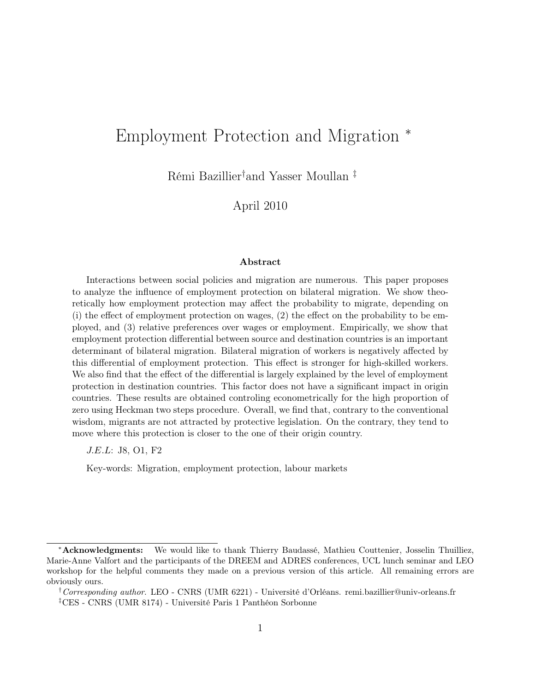## <span id="page-0-0"></span>Employment Protection and Migration <sup>∗</sup>

Rémi Bazillier† and Yasser Moullan ‡

April 2010

#### Abstract

Interactions between social policies and migration are numerous. This paper proposes to analyze the influence of employment protection on bilateral migration. We show theoretically how employment protection may affect the probability to migrate, depending on (i) the effect of employment protection on wages, (2) the effect on the probability to be employed, and (3) relative preferences over wages or employment. Empirically, we show that employment protection differential between source and destination countries is an important determinant of bilateral migration. Bilateral migration of workers is negatively affected by this differential of employment protection. This effect is stronger for high-skilled workers. We also find that the effect of the differential is largely explained by the level of employment protection in destination countries. This factor does not have a significant impact in origin countries. These results are obtained controling econometrically for the high proportion of zero using Heckman two steps procedure. Overall, we find that, contrary to the conventional wisdom, migrants are not attracted by protective legislation. On the contrary, they tend to move where this protection is closer to the one of their origin country.

J.E.L: J8, O1, F2

Key-words: Migration, employment protection, labour markets

<sup>∗</sup>Acknowledgments: We would like to thank Thierry Baudassé, Mathieu Couttenier, Josselin Thuilliez, Marie-Anne Valfort and the participants of the DREEM and ADRES conferences, UCL lunch seminar and LEO workshop for the helpful comments they made on a previous version of this article. All remaining errors are obviously ours.

<sup>&</sup>lt;sup>†</sup>Corresponding author. LEO - CNRS (UMR 6221) - Université d'Orléans. remi.bazillier@univ-orleans.fr ‡CES - CNRS (UMR 8174) - Université Paris 1 Panthéon Sorbonne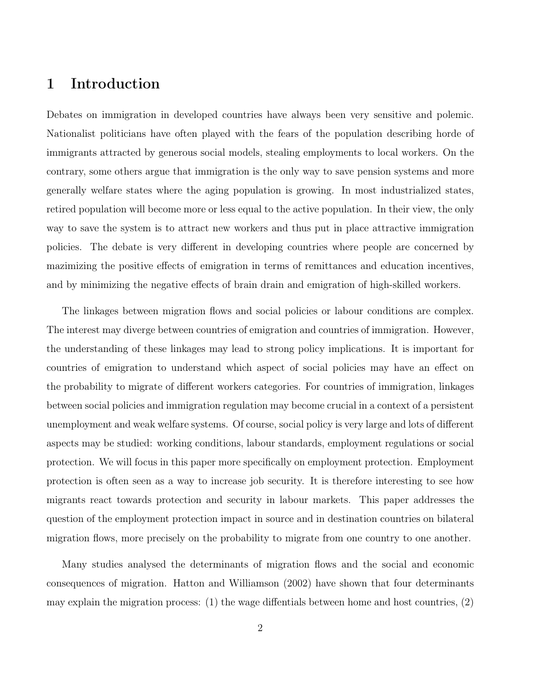## <span id="page-1-0"></span>1 Introduction

Debates on immigration in developed countries have always been very sensitive and polemic. Nationalist politicians have often played with the fears of the population describing horde of immigrants attracted by generous social models, stealing employments to local workers. On the contrary, some others argue that immigration is the only way to save pension systems and more generally welfare states where the aging population is growing. In most industrialized states, retired population will become more or less equal to the active population. In their view, the only way to save the system is to attract new workers and thus put in place attractive immigration policies. The debate is very different in developing countries where people are concerned by mazimizing the positive effects of emigration in terms of remittances and education incentives, and by minimizing the negative effects of brain drain and emigration of high-skilled workers.

The linkages between migration flows and social policies or labour conditions are complex. The interest may diverge between countries of emigration and countries of immigration. However, the understanding of these linkages may lead to strong policy implications. It is important for countries of emigration to understand which aspect of social policies may have an effect on the probability to migrate of different workers categories. For countries of immigration, linkages between social policies and immigration regulation may become crucial in a context of a persistent unemployment and weak welfare systems. Of course, social policy is very large and lots of different aspects may be studied: working conditions, labour standards, employment regulations or social protection. We will focus in this paper more specifically on employment protection. Employment protection is often seen as a way to increase job security. It is therefore interesting to see how migrants react towards protection and security in labour markets. This paper addresses the question of the employment protection impact in source and in destination countries on bilateral migration flows, more precisely on the probability to migrate from one country to one another.

Many studies analysed the determinants of migration flows and the social and economic consequences of migration. [Hatton and Williamson](#page-29-0) [\(2002\)](#page-29-0) have shown that four determinants may explain the migration process:  $(1)$  the wage diffentials between home and host countries,  $(2)$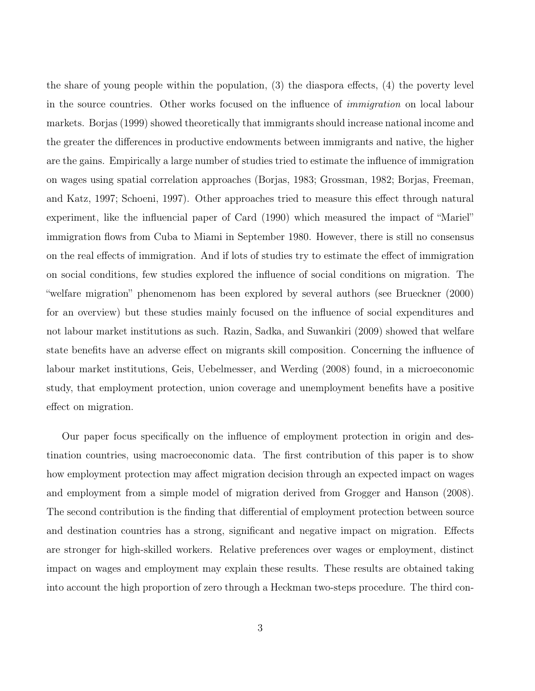<span id="page-2-0"></span>the share of young people within the population, (3) the diaspora effects, (4) the poverty level in the source countries. Other works focused on the influence of *immigration* on local labour markets. [Borjas](#page-27-0) [\(1999\)](#page-27-0) showed theoretically that immigrants should increase national income and the greater the differences in productive endowments between immigrants and native, the higher are the gains. Empirically a large number of studies tried to estimate the influence of immigration on wages using spatial correlation approaches [\(Borjas,](#page-27-1) [1983;](#page-27-1) [Grossman,](#page-28-0) [1982;](#page-28-0) [Borjas, Freeman,](#page-27-2) [and Katz,](#page-27-2) [1997;](#page-27-2) [Schoeni,](#page-30-0) [1997\)](#page-30-0). Other approaches tried to measure this effect through natural experiment, like the influencial paper of [Card](#page-28-1) [\(1990\)](#page-28-1) which measured the impact of "Mariel" immigration flows from Cuba to Miami in September 1980. However, there is still no consensus on the real effects of immigration. And if lots of studies try to estimate the effect of immigration on social conditions, few studies explored the influence of social conditions on migration. The "welfare migration" phenomenom has been explored by several authors (see [Brueckner](#page-28-2) [\(2000\)](#page-28-2) for an overview) but these studies mainly focused on the influence of social expenditures and not labour market institutions as such. [Razin, Sadka, and Suwankiri](#page-30-1) [\(2009\)](#page-30-1) showed that welfare state benefits have an adverse effect on migrants skill composition. Concerning the influence of labour market institutions, [Geis, Uebelmesser, and Werding](#page-28-3) [\(2008\)](#page-28-3) found, in a microeconomic study, that employment protection, union coverage and unemployment benefits have a positive effect on migration.

Our paper focus specifically on the influence of employment protection in origin and destination countries, using macroeconomic data. The first contribution of this paper is to show how employment protection may affect migration decision through an expected impact on wages and employment from a simple model of migration derived from [Grogger and Hanson](#page-28-4) [\(2008\)](#page-28-4). The second contribution is the finding that differential of employment protection between source and destination countries has a strong, significant and negative impact on migration. Effects are stronger for high-skilled workers. Relative preferences over wages or employment, distinct impact on wages and employment may explain these results. These results are obtained taking into account the high proportion of zero through a Heckman two-steps procedure. The third con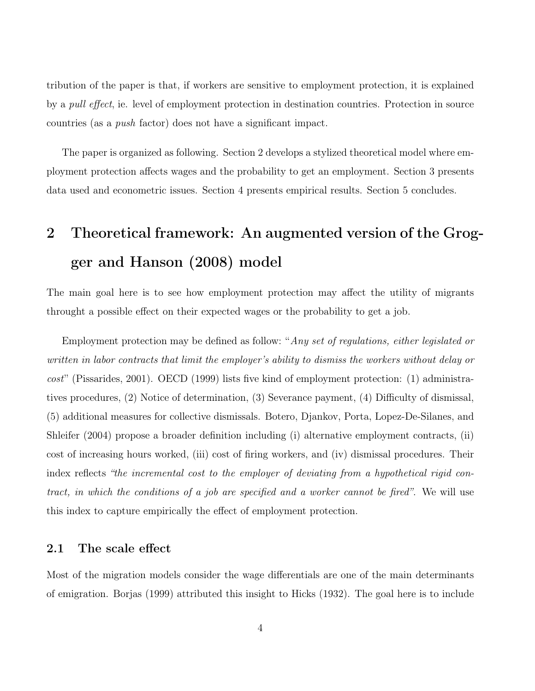<span id="page-3-0"></span>tribution of the paper is that, if workers are sensitive to employment protection, it is explained by a *pull effect*, ie. level of employment protection in destination countries. Protection in source countries (as a push factor) does not have a significant impact.

The paper is organized as following. Section 2 develops a stylized theoretical model where employment protection affects wages and the probability to get an employment. Section 3 presents data used and econometric issues. Section 4 presents empirical results. Section 5 concludes.

# 2 Theoretical framework: An augmented version of the Grogger and Hanson (2008) model

The main goal here is to see how employment protection may affect the utility of migrants throught a possible effect on their expected wages or the probability to get a job.

Employment protection may be defined as follow: "Any set of regulations, either legislated or written in labor contracts that limit the employer's ability to dismiss the workers without delay or  $cost''$  [\(Pissarides,](#page-30-2) [2001\)](#page-30-2). [OECD](#page-30-3) [\(1999\)](#page-30-3) lists five kind of employment protection: (1) administratives procedures, (2) Notice of determination, (3) Severance payment, (4) Difficulty of dismissal, (5) additional measures for collective dismissals. [Botero, Djankov, Porta, Lopez-De-Silanes, and](#page-28-5) [Shleifer](#page-28-5) [\(2004\)](#page-28-5) propose a broader definition including (i) alternative employment contracts, (ii) cost of increasing hours worked, (iii) cost of firing workers, and (iv) dismissal procedures. Their index reflects "the incremental cost to the employer of deviating from a hypothetical rigid contract, in which the conditions of a job are specified and a worker cannot be fired". We will use this index to capture empirically the effect of employment protection.

#### 2.1 The scale effect

Most of the migration models consider the wage differentials are one of the main determinants of emigration. [Borjas](#page-27-0) [\(1999\)](#page-27-0) attributed this insight to [Hicks](#page-29-1) [\(1932\)](#page-29-1). The goal here is to include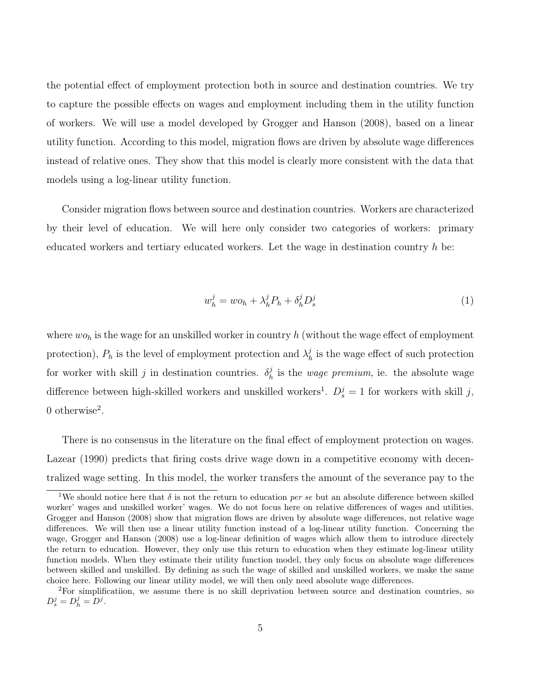<span id="page-4-1"></span>the potential effect of employment protection both in source and destination countries. We try to capture the possible effects on wages and employment including them in the utility function of workers. We will use a model developed by [Grogger and Hanson](#page-28-4) [\(2008\)](#page-28-4), based on a linear utility function. According to this model, migration flows are driven by absolute wage differences instead of relative ones. They show that this model is clearly more consistent with the data that models using a log-linear utility function.

Consider migration flows between source and destination countries. Workers are characterized by their level of education. We will here only consider two categories of workers: primary educated workers and tertiary educated workers. Let the wage in destination country  $h$  be:

<span id="page-4-0"></span>
$$
w_h^j = w o_h + \lambda_h^j P_h + \delta_h^j D_s^j \tag{1}
$$

where  $wo_h$  is the wage for an unskilled worker in country h (without the wage effect of employment protection),  $P_h$  is the level of employment protection and  $\lambda_h^j$  $h_h^j$  is the wage effect of such protection for worker with skill j in destination countries.  $\delta_h^j$  $h_h^j$  is the *wage premium*, ie. the absolute wage difference between high-skilled workers and unskilled workers<sup>1</sup>.  $D_s^j = 1$  for workers with skill j, 0 otherwise<sup>2</sup>.

There is no consensus in the literature on the final effect of employment protection on wages. [Lazear](#page-29-2) [\(1990\)](#page-29-2) predicts that firing costs drive wage down in a competitive economy with decentralized wage setting. In this model, the worker transfers the amount of the severance pay to the

<sup>&</sup>lt;sup>1</sup>We should notice here that  $\delta$  is not the return to education per se but an absolute difference between skilled worker' wages and unskilled worker' wages. We do not focus here on relative differences of wages and utilities. [Grogger and Hanson](#page-28-4) [\(2008\)](#page-28-4) show that migration flows are driven by absolute wage differences, not relative wage differences. We will then use a linear utility function instead of a log-linear utility function. Concerning the wage, [Grogger and Hanson](#page-28-4) [\(2008\)](#page-28-4) use a log-linear definition of wages which allow them to introduce directely the return to education. However, they only use this return to education when they estimate log-linear utility function models. When they estimate their utility function model, they only focus on absolute wage differences between skilled and unskilled. By defining as such the wage of skilled and unskilled workers, we make the same choice here. Following our linear utility model, we will then only need absolute wage differences.

<sup>2</sup>For simplificatiion, we assume there is no skill deprivation between source and destination countries, so  $D_s^j = D_h^j = D^j.$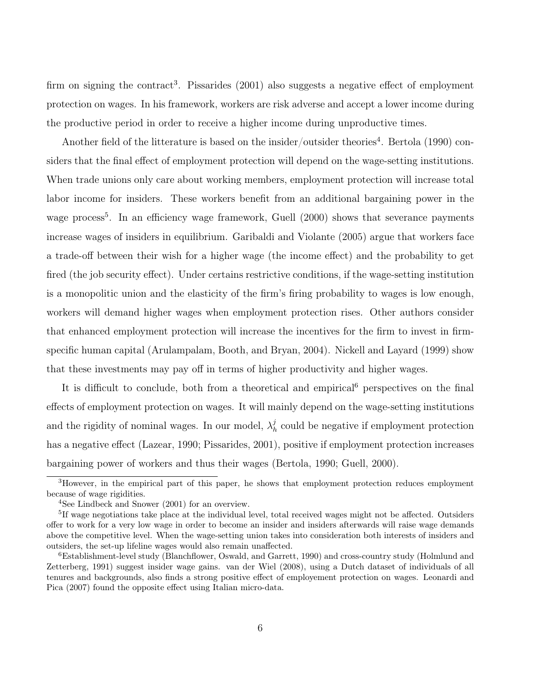<span id="page-5-0"></span>firm on signing the contract<sup>3</sup>. [Pissarides](#page-30-2) [\(2001\)](#page-30-2) also suggests a negative effect of employment protection on wages. In his framework, workers are risk adverse and accept a lower income during the productive period in order to receive a higher income during unproductive times.

Another field of the litterature is based on the insider/outsider theories<sup>4</sup>. [Bertola](#page-27-3) [\(1990\)](#page-27-3) considers that the final effect of employment protection will depend on the wage-setting institutions. When trade unions only care about working members, employment protection will increase total labor income for insiders. These workers benefit from an additional bargaining power in the wage process<sup>5</sup>. In an efficiency wage framework, [Guell](#page-28-6) [\(2000\)](#page-28-6) shows that severance payments increase wages of insiders in equilibrium. [Garibaldi and Violante](#page-28-7) [\(2005\)](#page-28-7) argue that workers face a trade-off between their wish for a higher wage (the income effect) and the probability to get fired (the job security effect). Under certains restrictive conditions, if the wage-setting institution is a monopolitic union and the elasticity of the firm's firing probability to wages is low enough, workers will demand higher wages when employment protection rises. Other authors consider that enhanced employment protection will increase the incentives for the firm to invest in firmspecific human capital [\(Arulampalam, Booth, and Bryan,](#page-26-0) [2004\)](#page-26-0). [Nickell and Layard](#page-30-4) [\(1999\)](#page-30-4) show that these investments may pay off in terms of higher productivity and higher wages.

It is difficult to conclude, both from a theoretical and empirical<sup>6</sup> perspectives on the final effects of employment protection on wages. It will mainly depend on the wage-setting institutions and the rigidity of nominal wages. In our model,  $\lambda<sub>k</sub><sup>j</sup>$  $h<sub>h</sub>$  could be negative if employment protection has a negative effect [\(Lazear,](#page-29-2) [1990;](#page-29-2) [Pissarides,](#page-30-2) [2001\)](#page-30-2), positive if employment protection increases bargaining power of workers and thus their wages [\(Bertola,](#page-27-3) [1990;](#page-27-3) [Guell,](#page-28-6) [2000\)](#page-28-6).

<sup>3</sup>However, in the empirical part of this paper, he shows that employment protection reduces employment because of wage rigidities.

<sup>4</sup>See [Lindbeck and Snower](#page-29-3) [\(2001\)](#page-29-3) for an overview.

<sup>&</sup>lt;sup>5</sup>If wage negotiations take place at the individual level, total received wages might not be affected. Outsiders offer to work for a very low wage in order to become an insider and insiders afterwards will raise wage demands above the competitive level. When the wage-setting union takes into consideration both interests of insiders and outsiders, the set-up lifeline wages would also remain unaffected.

<sup>6</sup>Establishment-level study [\(Blanchflower, Oswald, and Garrett,](#page-27-4) [1990\)](#page-27-4) and cross-country study [\(Holmlund and](#page-29-4) [Zetterberg,](#page-29-4) [1991\)](#page-29-4) suggest insider wage gains. [van der Wiel](#page-30-5) [\(2008\)](#page-30-5), using a Dutch dataset of individuals of all tenures and backgrounds, also finds a strong positive effect of employement protection on wages. [Leonardi and](#page-29-5) [Pica](#page-29-5) [\(2007\)](#page-29-5) found the opposite effect using Italian micro-data.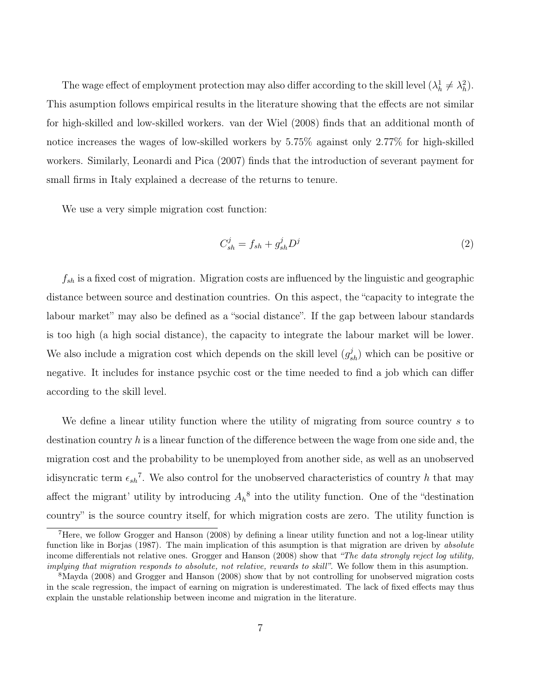<span id="page-6-1"></span>The wage effect of employment protection may also differ according to the skill level  $(\lambda_h^1 \neq \lambda_h^2)$ . This asumption follows empirical results in the literature showing that the effects are not similar for high-skilled and low-skilled workers. [van der Wiel](#page-30-5) [\(2008\)](#page-30-5) finds that an additional month of notice increases the wages of low-skilled workers by 5.75% against only 2.77% for high-skilled workers. Similarly, [Leonardi and Pica](#page-29-5) [\(2007\)](#page-29-5) finds that the introduction of severant payment for small firms in Italy explained a decrease of the returns to tenure.

We use a very simple migration cost function:

<span id="page-6-0"></span>
$$
C_{sh}^j = f_{sh} + g_{sh}^j D^j \tag{2}
$$

 $f_{sh}$  is a fixed cost of migration. Migration costs are influenced by the linguistic and geographic distance between source and destination countries. On this aspect, the "capacity to integrate the labour market" may also be defined as a "social distance". If the gap between labour standards is too high (a high social distance), the capacity to integrate the labour market will be lower. We also include a migration cost which depends on the skill level  $(g_{sh}^j)$  which can be positive or negative. It includes for instance psychic cost or the time needed to find a job which can differ according to the skill level.

We define a linear utility function where the utility of migrating from source country s to destination country h is a linear function of the difference between the wage from one side and, the migration cost and the probability to be unemployed from another side, as well as an unobserved idisyncratic term  $\epsilon_{sh}^7$ . We also control for the unobserved characteristics of country h that may affect the migrant' utility by introducing  $A_h^8$  into the utility function. One of the "destination" country" is the source country itself, for which migration costs are zero. The utility function is

<sup>7</sup>Here, we follow [Grogger and Hanson](#page-28-4) [\(2008\)](#page-28-4) by defining a linear utility function and not a log-linear utility function like in [Borjas](#page-27-5) [\(1987\)](#page-27-5). The main implication of this asumption is that migration are driven by *absolute* income differentials not relative ones. [Grogger and Hanson](#page-28-4) [\(2008\)](#page-28-4) show that "The data strongly reject log utility, implying that migration responds to absolute, not relative, rewards to skill". We follow them in this asumption.

<sup>8</sup>[Mayda](#page-29-6) [\(2008\)](#page-29-6) and [Grogger and Hanson](#page-28-4) [\(2008\)](#page-28-4) show that by not controlling for unobserved migration costs in the scale regression, the impact of earning on migration is underestimated. The lack of fixed effects may thus explain the unstable relationship between income and migration in the literature.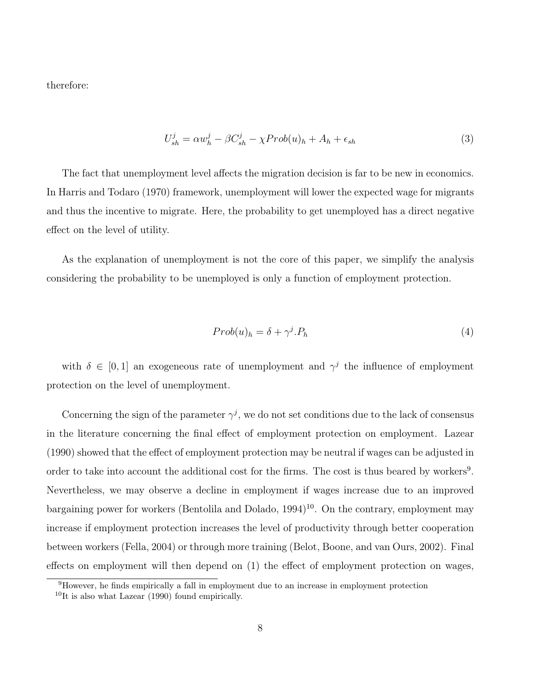<span id="page-7-1"></span>therefore:

<span id="page-7-0"></span>
$$
U_{sh}^j = \alpha w_h^j - \beta C_{sh}^j - \chi Prob(u)_h + A_h + \epsilon_{sh} \tag{3}
$$

The fact that unemployment level affects the migration decision is far to be new in economics. In [Harris and Todaro](#page-29-7) [\(1970\)](#page-29-7) framework, unemployment will lower the expected wage for migrants and thus the incentive to migrate. Here, the probability to get unemployed has a direct negative effect on the level of utility.

As the explanation of unemployment is not the core of this paper, we simplify the analysis considering the probability to be unemployed is only a function of employment protection.

$$
Prob(u)_h = \delta + \gamma^j P_h \tag{4}
$$

with  $\delta \in [0,1]$  an exogeneous rate of unemployment and  $\gamma^{j}$  the influence of employment protection on the level of unemployment.

Concerning the sign of the parameter  $\gamma^j$ , we do not set conditions due to the lack of consensus in the literature concerning the final effect of employment protection on employment. [Lazear](#page-29-2) [\(1990\)](#page-29-2) showed that the effect of employment protection may be neutral if wages can be adjusted in order to take into account the additional cost for the firms. The cost is thus beared by workers<sup>9</sup>. Nevertheless, we may observe a decline in employment if wages increase due to an improved bargaining power for workers [\(Bentolila and Dolado,](#page-27-6) [1994\)](#page-27-6)<sup>10</sup>. On the contrary, employment may increase if employment protection increases the level of productivity through better cooperation between workers [\(Fella,](#page-28-8) [2004\)](#page-28-8) or through more training [\(Belot, Boone, and van Ours,](#page-27-7) [2002\)](#page-27-7). Final effects on employment will then depend on (1) the effect of employment protection on wages,

<sup>&</sup>lt;sup>9</sup>However, he finds empirically a fall in employment due to an increase in employment protection

 $10$ It is also what [Lazear](#page-29-2) [\(1990\)](#page-29-2) found empirically.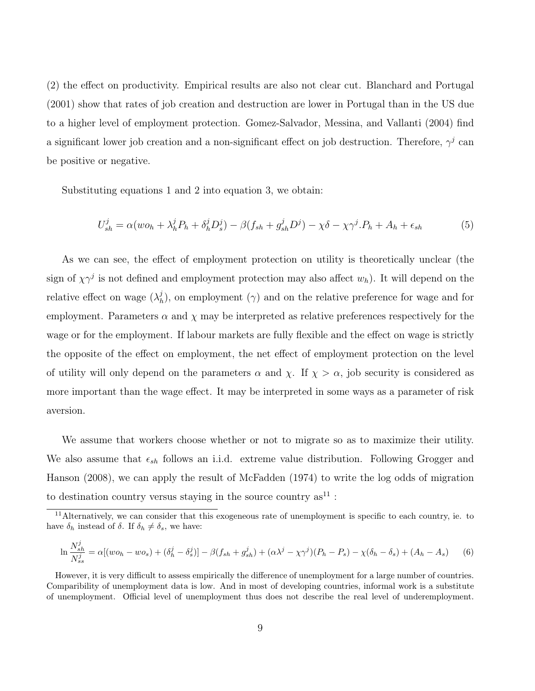<span id="page-8-1"></span>(2) the effect on productivity. Empirical results are also not clear cut. [Blanchard and Portugal](#page-27-8) [\(2001\)](#page-27-8) show that rates of job creation and destruction are lower in Portugal than in the US due to a higher level of employment protection. [Gomez-Salvador, Messina, and Vallanti](#page-28-9) [\(2004\)](#page-28-9) find a significant lower job creation and a non-significant effect on job destruction. Therefore,  $\gamma^j$  can be positive or negative.

Substituting equations [1](#page-4-0) and [2](#page-6-0) into equation [3,](#page-7-0) we obtain:

<span id="page-8-0"></span>
$$
U_{sh}^j = \alpha (wo_h + \lambda_h^j P_h + \delta_h^j D_s^j) - \beta (f_{sh} + g_{sh}^j D^j) - \chi \delta - \chi \gamma^j P_h + A_h + \epsilon_{sh}
$$
(5)

As we can see, the effect of employment protection on utility is theoretically unclear (the sign of  $\chi \gamma^j$  is not defined and employment protection may also affect  $w_h$ ). It will depend on the relative effect on wage  $(\lambda_k^j)$  $h_h$ ), on employment ( $\gamma$ ) and on the relative preference for wage and for employment. Parameters  $\alpha$  and  $\chi$  may be interpreted as relative preferences respectively for the wage or for the employment. If labour markets are fully flexible and the effect on wage is strictly the opposite of the effect on employment, the net effect of employment protection on the level of utility will only depend on the parameters  $\alpha$  and  $\chi$ . If  $\chi > \alpha$ , job security is considered as more important than the wage effect. It may be interpreted in some ways as a parameter of risk aversion.

We assume that workers choose whether or not to migrate so as to maximize their utility. We also assume that  $\epsilon_{sh}$  follows an i.i.d. extreme value distribution. Following [Grogger and](#page-28-4) [Hanson](#page-28-4) [\(2008\)](#page-28-4), we can apply the result of [McFadden](#page-30-6) [\(1974\)](#page-30-6) to write the log odds of migration to destination country versus staying in the source country  $as^{11}$ :

$$
\ln \frac{N_{sh}^j}{N_{ss}^j} = \alpha [(wo_h - wo_s) + (\delta_h^j - \delta_s^j)] - \beta (f_{sh} + g_{sh}^j) + (\alpha \lambda^j - \chi \gamma^j)(P_h - P_s) - \chi(\delta_h - \delta_s) + (A_h - A_s) \tag{6}
$$

<sup>&</sup>lt;sup>11</sup>Alternatively, we can consider that this exogeneous rate of unemployment is specific to each country, ie. to have  $\delta_h$  instead of  $\delta$ . If  $\delta_h \neq \delta_s$ , we have:

However, it is very difficult to assess empirically the difference of unemployment for a large number of countries. Comparibility of unemployment data is low. And in most of developing countries, informal work is a substitute of unemployment. Official level of unemployment thus does not describe the real level of underemployment.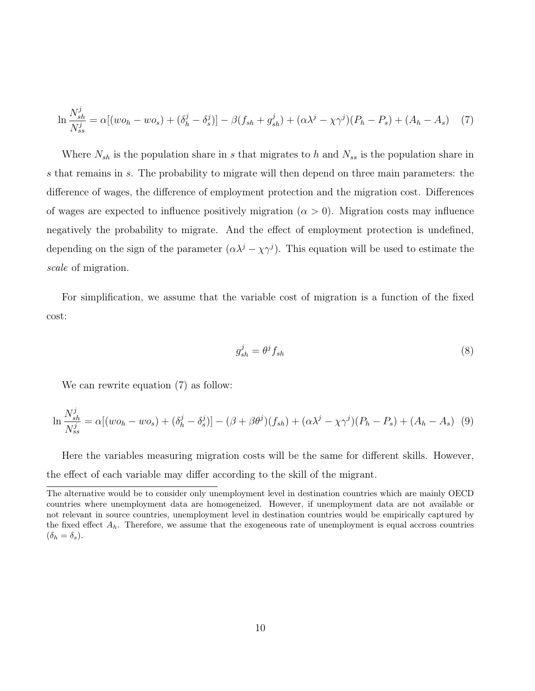$$
\ln \frac{N_{sh}^j}{N_{ss}^j} = \alpha [(wo_h - wo_s) + (\delta_h^j - \delta_s^j)] - \beta (f_{sh} + g_{sh}^j) + (\alpha \lambda^j - \chi \gamma^j)(P_h - P_s) + (A_h - A_s) \quad (7)
$$

Where  $N_{sh}$  is the population share in s that migrates to h and  $N_{ss}$  is the population share in s that remains in s. The probability to migrate will then depend on three main parameters: the difference of wages, the difference of employment protection and the migration cost. Differences of wages are expected to influence positively migration  $(\alpha > 0)$ . Migration costs may influence negatively the probability to migrate. And the effect of employment protection is undefined, depending on the sign of the parameter  $(\alpha \lambda^{j} - \chi \gamma^{j})$ . This equation will be used to estimate the scale of migration.

For simplification, we assume that the variable cost of migration is a function of the fixed cost:

<span id="page-9-0"></span>
$$
g_{sh}^j = \theta^j f_{sh} \tag{8}
$$

We can rewrite equation [\(7\)](#page-9-0) as follow:

$$
\ln \frac{N_{sh}^j}{N_{ss}^j} = \alpha [(wo_h - wo_s) + (\delta_h^j - \delta_s^j)] - (\beta + \beta \theta^j)(f_{sh}) + (\alpha \lambda^j - \chi \gamma^j)(P_h - P_s) + (A_h - A_s) \tag{9}
$$

Here the variables measuring migration costs will be the same for different skills. However, the effect of each variable may differ according to the skill of the migrant.

The alternative would be to consider only unemployment level in destination countries which are mainly OECD countries where unemployment data are homogeneized. However, if unemployment data are not available or not relevant in source countries, unemployment level in destination countries would be empirically captured by the fixed effect  $A_h$ . Therefore, we assume that the exogeneous rate of unemployment is equal accross countries  $(\delta_h = \delta_s).$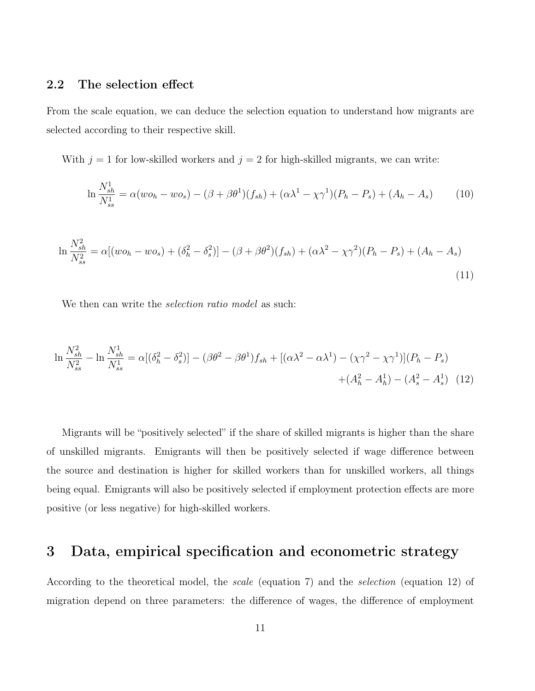### 2.2 The selection effect

From the scale equation, we can deduce the selection equation to understand how migrants are selected according to their respective skill.

With  $j = 1$  for low-skilled workers and  $j = 2$  for high-skilled migrants, we can write:

$$
\ln \frac{N_{sh}^1}{N_{ss}^1} = \alpha (w o_h - w o_s) - (\beta + \beta \theta^1)(f_{sh}) + (\alpha \lambda^1 - \chi \gamma^1)(P_h - P_s) + (A_h - A_s)
$$
(10)

$$
\ln \frac{N_{sh}^2}{N_{ss}^2} = \alpha [(wo_h - wo_s) + (\delta_h^2 - \delta_s^2)] - (\beta + \beta \theta^2)(f_{sh}) + (\alpha \lambda^2 - \chi \gamma^2)(P_h - P_s) + (A_h - A_s)
$$
\n(11)

We then can write the *selection ratio model* as such:

$$
\ln \frac{N_{sh}^2}{N_{ss}^2} - \ln \frac{N_{sh}^1}{N_{ss}^1} = \alpha [(\delta_h^2 - \delta_s^2)] - (\beta \theta^2 - \beta \theta^1) f_{sh} + [(\alpha \lambda^2 - \alpha \lambda^1) - (\chi \gamma^2 - \chi \gamma^1)] (P_h - P_s)
$$
  
 
$$
+ (A_h^2 - A_h^1) - (A_s^2 - A_s^1) \tag{12}
$$

Migrants will be "positively selected" if the share of skilled migrants is higher than the share of unskilled migrants. Emigrants will then be positively selected if wage difference between the source and destination is higher for skilled workers than for unskilled workers, all things being equal. Emigrants will also be positively selected if employment protection effects are more positive (or less negative) for high-skilled workers.

### 3 Data, empirical specification and econometric strategy

According to the theoretical model, the scale (equation [7\)](#page-9-0) and the selection (equation [12\)](#page-0-0) of migration depend on three parameters: the difference of wages, the difference of employment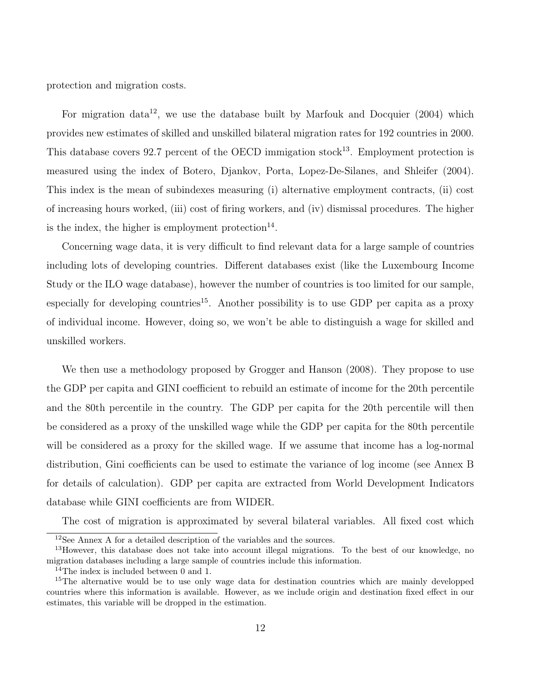<span id="page-11-0"></span>protection and migration costs.

For migration data<sup>12</sup>, we use the database built by [Marfouk and Docquier](#page-29-8)  $(2004)$  which provides new estimates of skilled and unskilled bilateral migration rates for 192 countries in 2000. This database covers 92.7 percent of the OECD immigation stock<sup>13</sup>. Employment protection is measured using the index of [Botero, Djankov, Porta, Lopez-De-Silanes, and Shleifer](#page-28-5) [\(2004\)](#page-28-5). This index is the mean of subindexes measuring (i) alternative employment contracts, (ii) cost of increasing hours worked, (iii) cost of firing workers, and (iv) dismissal procedures. The higher is the index, the higher is employment protection<sup>14</sup>.

Concerning wage data, it is very difficult to find relevant data for a large sample of countries including lots of developing countries. Different databases exist (like the Luxembourg Income Study or the ILO wage database), however the number of countries is too limited for our sample, especially for developing countries<sup>15</sup>. Another possibility is to use GDP per capita as a proxy of individual income. However, doing so, we won't be able to distinguish a wage for skilled and unskilled workers.

We then use a methodology proposed by [Grogger and Hanson](#page-28-4) [\(2008\)](#page-28-4). They propose to use the GDP per capita and GINI coefficient to rebuild an estimate of income for the 20th percentile and the 80th percentile in the country. The GDP per capita for the 20th percentile will then be considered as a proxy of the unskilled wage while the GDP per capita for the 80th percentile will be considered as a proxy for the skilled wage. If we assume that income has a log-normal distribution, Gini coefficients can be used to estimate the variance of log income (see Annex [B](#page-32-0) for details of calculation). GDP per capita are extracted from World Development Indicators database while GINI coefficients are from WIDER.

The cost of migration is approximated by several bilateral variables. All fixed cost which

<sup>12</sup>See Annex [A](#page-31-0) for a detailed description of the variables and the sources.

<sup>&</sup>lt;sup>13</sup>However, this database does not take into account illegal migrations. To the best of our knowledge, no migration databases including a large sample of countries include this information.

 $^{14}$ The index is included between 0 and 1.

<sup>&</sup>lt;sup>15</sup>The alternative would be to use only wage data for destination countries which are mainly developped countries where this information is available. However, as we include origin and destination fixed effect in our estimates, this variable will be dropped in the estimation.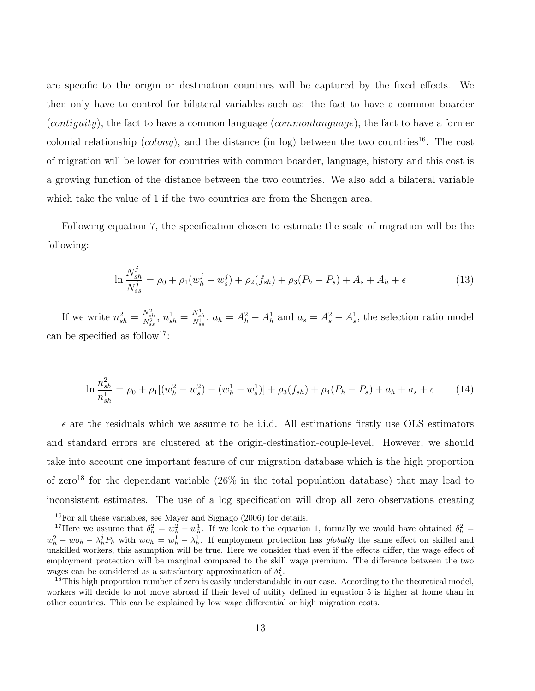<span id="page-12-2"></span>are specific to the origin or destination countries will be captured by the fixed effects. We then only have to control for bilateral variables such as: the fact to have a common boarder (*contiguity*), the fact to have a common language (*commonlanguage*), the fact to have a former colonial relationship (colony), and the distance (in log) between the two countries<sup>16</sup>. The cost of migration will be lower for countries with common boarder, language, history and this cost is a growing function of the distance between the two countries. We also add a bilateral variable which take the value of 1 if the two countries are from the Shengen area.

Following equation [7,](#page-9-0) the specification chosen to estimate the scale of migration will be the following:

<span id="page-12-1"></span><span id="page-12-0"></span>
$$
\ln \frac{N_{sh}^j}{N_{ss}^j} = \rho_0 + \rho_1 (w_h^j - w_s^j) + \rho_2 (f_{sh}) + \rho_3 (P_h - P_s) + A_s + A_h + \epsilon
$$
\n(13)

If we write  $n_{sh}^2 = \frac{N_{sh}^2}{N_{ss}^2}$ ,  $n_{sh}^1 = \frac{N_{sh}^1}{N_{ss}^1}$ ,  $a_h = A_h^2 - A_h^1$  and  $a_s = A_s^2 - A_s^1$ , the selection ratio model can be specified as follow<sup>17</sup>:

$$
\ln \frac{n_{sh}^2}{n_{sh}^1} = \rho_0 + \rho_1 [(w_h^2 - w_s^2) - (w_h^1 - w_s^1)] + \rho_3 (f_{sh}) + \rho_4 (P_h - P_s) + a_h + a_s + \epsilon \tag{14}
$$

 $\epsilon$  are the residuals which we assume to be i.i.d. All estimations firstly use OLS estimators and standard errors are clustered at the origin-destination-couple-level. However, we should take into account one important feature of our migration database which is the high proportion of zero<sup>18</sup> for the dependant variable  $(26\%$  in the total population database) that may lead to inconsistent estimates. The use of a log specification will drop all zero observations creating

 $16$ For all these variables, see [Mayer and Signago](#page-30-7) [\(2006\)](#page-30-7) for details.

<sup>&</sup>lt;sup>17</sup>Here we assume that  $\delta_h^2 = w_h^2 - w_h^1$ . If we look to the equation [1,](#page-4-0) formally we would have obtained  $\delta_h^2 =$  $w_h^2 - w_{h} - \lambda_h^j P_h$  with  $w_{h} = w_h^1 - \lambda_h^1$ . If employment protection has globally the same effect on skilled and unskilled workers, this asumption will be true. Here we consider that even if the effects differ, the wage effect of employment protection will be marginal compared to the skill wage premium. The difference between the two wages can be considered as a satisfactory approximation of  $\delta_h^2$ .

<sup>&</sup>lt;sup>18</sup>This high proportion number of zero is easily understandable in our case. According to the theoretical model, workers will decide to not move abroad if their level of utility defined in equation [5](#page-8-0) is higher at home than in other countries. This can be explained by low wage differential or high migration costs.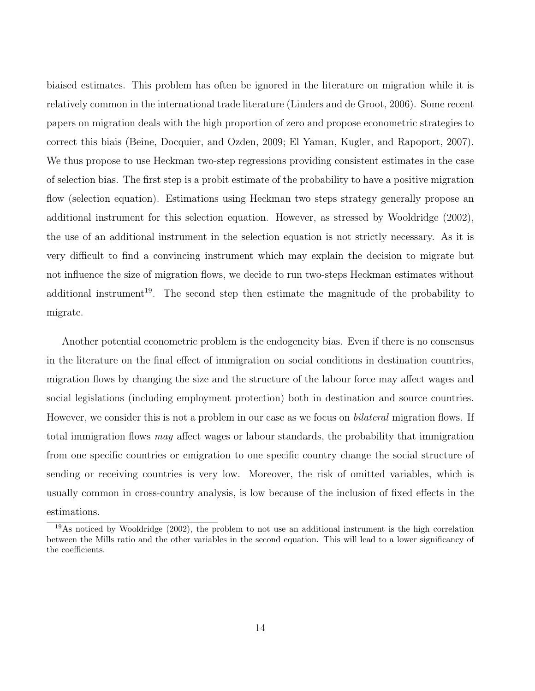<span id="page-13-0"></span>biaised estimates. This problem has often be ignored in the literature on migration while it is relatively common in the international trade literature [\(Linders and de Groot,](#page-29-9) [2006\)](#page-29-9). Some recent papers on migration deals with the high proportion of zero and propose econometric strategies to correct this biais [\(Beine, Docquier, and Ozden,](#page-27-9) [2009;](#page-27-9) [El Yaman, Kugler, and Rapoport,](#page-28-10) [2007\)](#page-28-10). We thus propose to use Heckman two-step regressions providing consistent estimates in the case of selection bias. The first step is a probit estimate of the probability to have a positive migration flow (selection equation). Estimations using Heckman two steps strategy generally propose an additional instrument for this selection equation. However, as stressed by [Wooldridge](#page-30-8) [\(2002\)](#page-30-8), the use of an additional instrument in the selection equation is not strictly necessary. As it is very difficult to find a convincing instrument which may explain the decision to migrate but not influence the size of migration flows, we decide to run two-steps Heckman estimates without additional instrument<sup>19</sup>. The second step then estimate the magnitude of the probability to migrate.

Another potential econometric problem is the endogeneity bias. Even if there is no consensus in the literature on the final effect of immigration on social conditions in destination countries, migration flows by changing the size and the structure of the labour force may affect wages and social legislations (including employment protection) both in destination and source countries. However, we consider this is not a problem in our case as we focus on *bilateral* migration flows. If total immigration flows may affect wages or labour standards, the probability that immigration from one specific countries or emigration to one specific country change the social structure of sending or receiving countries is very low. Moreover, the risk of omitted variables, which is usually common in cross-country analysis, is low because of the inclusion of fixed effects in the estimations.

<sup>19</sup>As noticed by [Wooldridge](#page-30-8) [\(2002\)](#page-30-8), the problem to not use an additional instrument is the high correlation between the Mills ratio and the other variables in the second equation. This will lead to a lower significancy of the coefficients.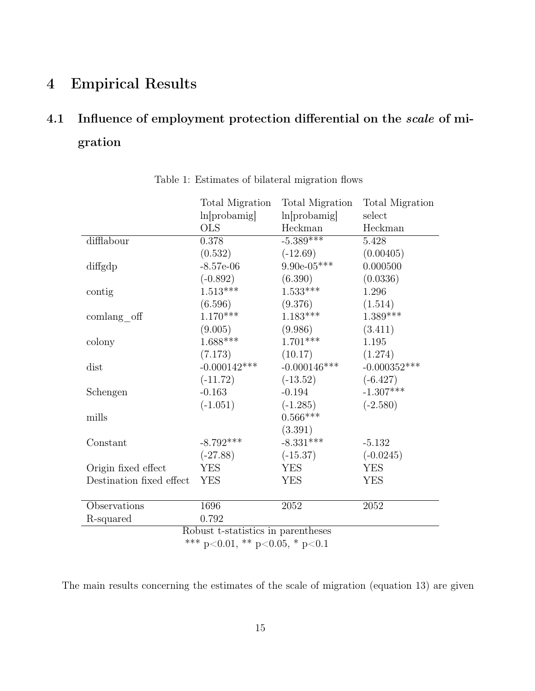## 4 Empirical Results

# 4.1 Influence of employment protection differential on the scale of migration

|                                    | Total Migration | Total Migration | <b>Total Migration</b> |  |
|------------------------------------|-----------------|-----------------|------------------------|--|
|                                    | ln[probability] | ln[probability] | select                 |  |
|                                    | <b>OLS</b>      | Heckman         | Heckman                |  |
| difflabour                         | 0.378           | $-5.389***$     | 5.428                  |  |
|                                    | (0.532)         | $(-12.69)$      | (0.00405)              |  |
| diffgdp                            | $-8.57e-06$     | $9.90e-05***$   | 0.000500               |  |
|                                    | $(-0.892)$      | (6.390)         | (0.0336)               |  |
| contig                             | $1.513***$      | $1.533***$      | 1.296                  |  |
|                                    | (6.596)         | (9.376)         | (1.514)                |  |
| $\mathrm{comlang\_off}$            | $1.170***$      | $1.183***$      | $1.389***$             |  |
|                                    | (9.005)         | (9.986)         | (3.411)                |  |
| colony                             | $1.688***$      | $1.701***$      | 1.195                  |  |
|                                    | (7.173)         | (10.17)         | (1.274)                |  |
| dist                               | $-0.000142***$  | $-0.000146$ *** | $-0.000352***$         |  |
|                                    | $(-11.72)$      | $(-13.52)$      | $(-6.427)$             |  |
| Schengen                           | $-0.163$        | $-0.194$        | $-1.307***$            |  |
|                                    | $(-1.051)$      | $(-1.285)$      | $(-2.580)$             |  |
| mills                              |                 | $0.566***$      |                        |  |
|                                    |                 | (3.391)         |                        |  |
| Constant                           | $-8.792***$     | $-8.331***$     | $-5.132$               |  |
|                                    | $(-27.88)$      | $(-15.37)$      | $(-0.0245)$            |  |
| Origin fixed effect                | <b>YES</b>      | <b>YES</b>      | <b>YES</b>             |  |
| Destination fixed effect           | <b>YES</b>      | <b>YES</b>      | <b>YES</b>             |  |
|                                    |                 |                 |                        |  |
| Observations                       | 1696            | 2052            | 2052                   |  |
| R-squared                          | 0.792           |                 |                        |  |
| Robust t-statistics in parentheses |                 |                 |                        |  |
| *** p<0.01, ** p<0.05, * p<0.1     |                 |                 |                        |  |

<span id="page-14-0"></span>Table 1: Estimates of bilateral migration flows

The main results concerning the estimates of the scale of migration (equation [13\)](#page-12-0) are given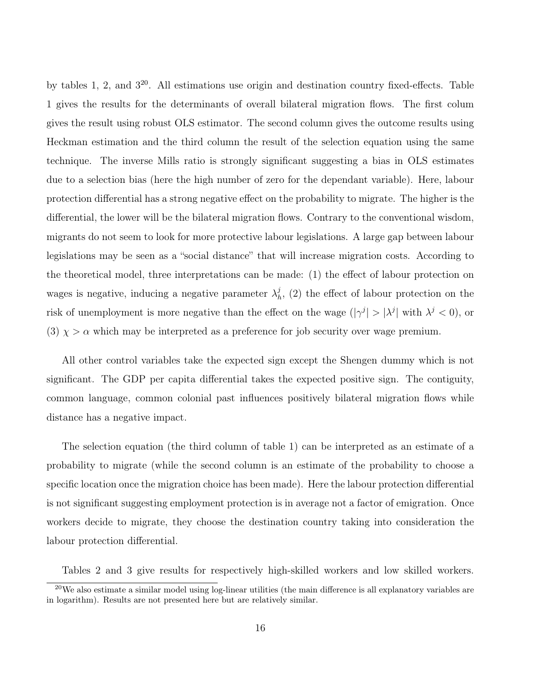by tables [1,](#page-14-0) [2,](#page-16-0) and  $3^{20}$  $3^{20}$ . All estimations use origin and destination country fixed-effects. Table [1](#page-14-0) gives the results for the determinants of overall bilateral migration flows. The first colum gives the result using robust OLS estimator. The second column gives the outcome results using Heckman estimation and the third column the result of the selection equation using the same technique. The inverse Mills ratio is strongly significant suggesting a bias in OLS estimates due to a selection bias (here the high number of zero for the dependant variable). Here, labour protection differential has a strong negative effect on the probability to migrate. The higher is the differential, the lower will be the bilateral migration flows. Contrary to the conventional wisdom, migrants do not seem to look for more protective labour legislations. A large gap between labour legislations may be seen as a "social distance" that will increase migration costs. According to the theoretical model, three interpretations can be made: (1) the effect of labour protection on wages is negative, inducing a negative parameter  $\lambda<sub>k</sub><sup>j</sup>$  $h<sub>h</sub>$ , (2) the effect of labour protection on the risk of unemployment is more negative than the effect on the wage  $(|\gamma^j| > |\lambda^j|)$  with  $\lambda^j < 0$ , or (3)  $\chi > \alpha$  which may be interpreted as a preference for job security over wage premium.

All other control variables take the expected sign except the Shengen dummy which is not significant. The GDP per capita differential takes the expected positive sign. The contiguity, common language, common colonial past influences positively bilateral migration flows while distance has a negative impact.

The selection equation (the third column of table [1\)](#page-14-0) can be interpreted as an estimate of a probability to migrate (while the second column is an estimate of the probability to choose a specific location once the migration choice has been made). Here the labour protection differential is not significant suggesting employment protection is in average not a factor of emigration. Once workers decide to migrate, they choose the destination country taking into consideration the labour protection differential.

Tables [2](#page-16-0) and [3](#page-17-0) give results for respectively high-skilled workers and low skilled workers.

 $^{20}$ We also estimate a similar model using log-linear utilities (the main difference is all explanatory variables are in logarithm). Results are not presented here but are relatively similar.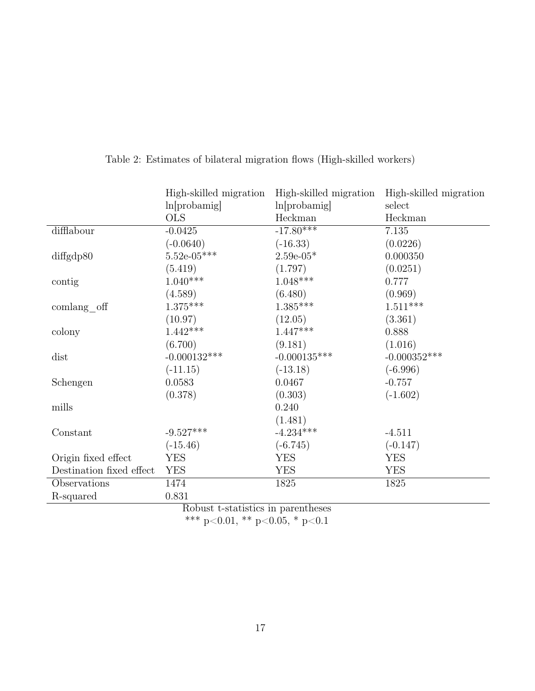|                          | High-skilled migration | High-skilled migration | High-skilled migration |
|--------------------------|------------------------|------------------------|------------------------|
|                          | ln[probability]        | ln[probability]        | select                 |
|                          | <b>OLS</b>             | Heckman                | Heckman                |
| difflabour               | $-0.0425$              | $-17.80***$            | 7.135                  |
|                          | $(-0.0640)$            | $(-16.33)$             | (0.0226)               |
| diffgdp80                | $5.52e-05***$          | $2.59e-05*$            | 0.000350               |
|                          | (5.419)                | (1.797)                | (0.0251)               |
| contig                   | $1.040***$             | $1.048***$             | 0.777                  |
|                          | (4.589)                | (6.480)                | (0.969)                |
| $\mathrm{comlang\_off}$  | $1.375***$             | $1.385***$             | $1.511***$             |
|                          | (10.97)                | (12.05)                | (3.361)                |
| colony                   | $1.442***$             | $1.447***$             | 0.888                  |
|                          | (6.700)                | (9.181)                | (1.016)                |
| dist                     | $-0.000132***$         | $-0.000135***$         | $-0.000352***$         |
|                          | $(-11.15)$             | $(-13.18)$             | $(-6.996)$             |
| Schengen                 | 0.0583                 | 0.0467                 | $-0.757$               |
|                          | (0.378)                | (0.303)                | $(-1.602)$             |
| mills                    |                        | 0.240                  |                        |
|                          |                        | (1.481)                |                        |
| Constant                 | $-9.527***$            | $-4.234***$            | $-4.511$               |
|                          | $(-15.46)$             | $(-6.745)$             | $(-0.147)$             |
| Origin fixed effect      | <b>YES</b>             | <b>YES</b>             | <b>YES</b>             |
| Destination fixed effect | <b>YES</b>             | YES                    | YES                    |
| Observations             | 1474                   | 1825                   | 1825                   |
| R-squared                | 0.831                  |                        |                        |

<span id="page-16-0"></span>Table 2: Estimates of bilateral migration flows (High-skilled workers)

Robust t-statistics in parentheses

\*\*\* p<0.01, \*\* p<0.05, \* p<0.1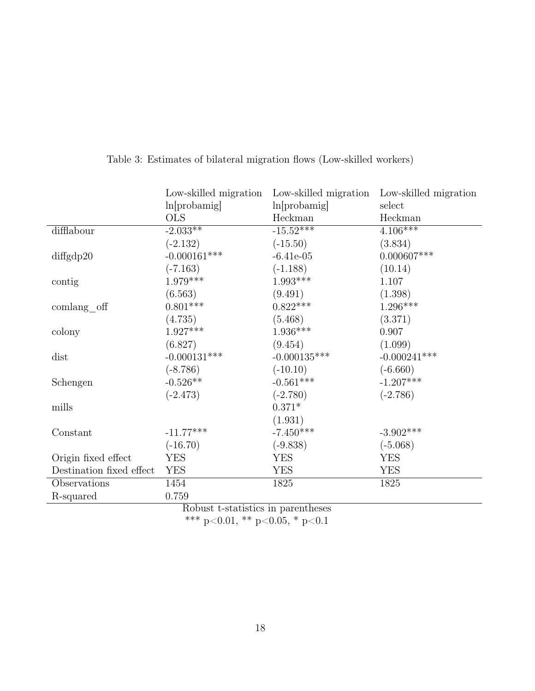|                          | Low-skilled migration | Low-skilled migration | Low-skilled migration |
|--------------------------|-----------------------|-----------------------|-----------------------|
|                          | ln[probability]       | ln[probability]       | select                |
|                          | <b>OLS</b>            | Heckman               | Heckman               |
| difflabour               | $-2.033**$            | $-15.52***$           | $4.106***$            |
|                          | $(-2.132)$            | $(-15.50)$            | (3.834)               |
| diffgdp20                | $-0.000161***$        | $-6.41e-05$           | $0.000607^{***}\,$    |
|                          | $(-7.163)$            | $(-1.188)$            | (10.14)               |
| contig                   | $1.979***$            | $1.993***$            | 1.107                 |
|                          | (6.563)               | (9.491)               | (1.398)               |
| $comlang_{of}$           | $0.801***$            | $0.822***$            | $1.296***$            |
|                          | (4.735)               | (5.468)               | (3.371)               |
| colony                   | $1.927***$            | $1.936***$            | 0.907                 |
|                          | (6.827)               | (9.454)               | (1.099)               |
| dist                     | $-0.000131***$        | $-0.000135***$        | $-0.000241***$        |
|                          | $(-8.786)$            | $(-10.10)$            | $(-6.660)$            |
| Schengen                 | $-0.526**$            | $-0.561***$           | $-1.207***$           |
|                          | $(-2.473)$            | $(-2.780)$            | $(-2.786)$            |
| mills                    |                       | $0.371*$              |                       |
|                          |                       | (1.931)               |                       |
| Constant                 | $-11.77***$           | $-7.450***$           | $-3.902^{***}\,$      |
|                          | $(-16.70)$            | $(-9.838)$            | $(-5.068)$            |
| Origin fixed effect      | <b>YES</b>            | <b>YES</b>            | <b>YES</b>            |
| Destination fixed effect | <b>YES</b>            | <b>YES</b>            | <b>YES</b>            |
| Observations             | 1454                  | 1825                  | 1825                  |
| R-squared                | 0.759                 |                       |                       |

<span id="page-17-0"></span>Table 3: Estimates of bilateral migration flows (Low-skilled workers)

Robust t-statistics in parentheses

\*\*\* p<0.01, \*\* p<0.05, \* p<0.1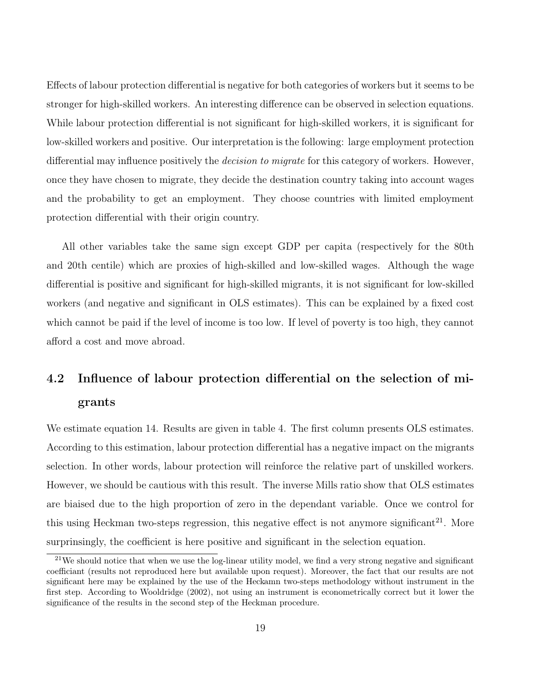<span id="page-18-0"></span>Effects of labour protection differential is negative for both categories of workers but it seems to be stronger for high-skilled workers. An interesting difference can be observed in selection equations. While labour protection differential is not significant for high-skilled workers, it is significant for low-skilled workers and positive. Our interpretation is the following: large employment protection differential may influence positively the *decision to migrate* for this category of workers. However, once they have chosen to migrate, they decide the destination country taking into account wages and the probability to get an employment. They choose countries with limited employment protection differential with their origin country.

All other variables take the same sign except GDP per capita (respectively for the 80th and 20th centile) which are proxies of high-skilled and low-skilled wages. Although the wage differential is positive and significant for high-skilled migrants, it is not significant for low-skilled workers (and negative and significant in OLS estimates). This can be explained by a fixed cost which cannot be paid if the level of income is too low. If level of poverty is too high, they cannot afford a cost and move abroad.

# 4.2 Influence of labour protection differential on the selection of migrants

We estimate equation [14.](#page-12-1) Results are given in table [4.](#page-20-0) The first column presents OLS estimates. According to this estimation, labour protection differential has a negative impact on the migrants selection. In other words, labour protection will reinforce the relative part of unskilled workers. However, we should be cautious with this result. The inverse Mills ratio show that OLS estimates are biaised due to the high proportion of zero in the dependant variable. Once we control for this using Heckman two-steps regression, this negative effect is not anymore significant<sup>21</sup>. More surprinsingly, the coefficient is here positive and significant in the selection equation.

 $21$ We should notice that when we use the log-linear utility model, we find a very strong negative and significant coefficiant (results not reproduced here but available upon request). Moreover, the fact that our results are not significant here may be explained by the use of the Heckamn two-steps methodology without instrument in the first step. According to [Wooldridge](#page-30-8) [\(2002\)](#page-30-8), not using an instrument is econometrically correct but it lower the significance of the results in the second step of the Heckman procedure.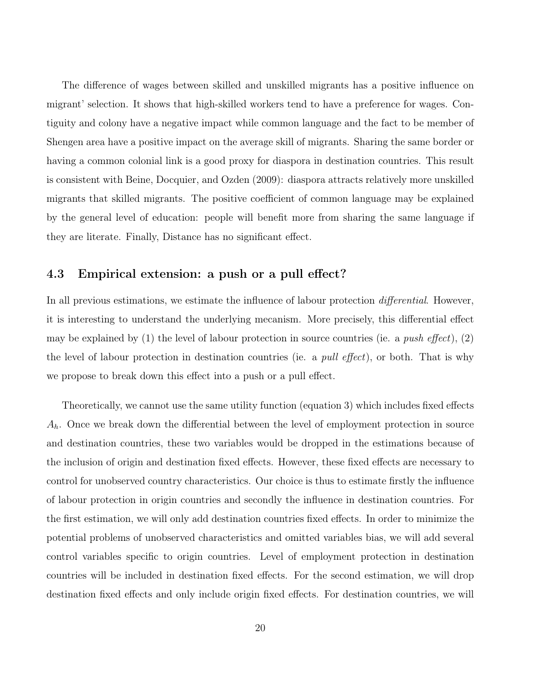<span id="page-19-0"></span>The difference of wages between skilled and unskilled migrants has a positive influence on migrant' selection. It shows that high-skilled workers tend to have a preference for wages. Contiguity and colony have a negative impact while common language and the fact to be member of Shengen area have a positive impact on the average skill of migrants. Sharing the same border or having a common colonial link is a good proxy for diaspora in destination countries. This result is consistent with [Beine, Docquier, and Ozden](#page-27-9) [\(2009\)](#page-27-9): diaspora attracts relatively more unskilled migrants that skilled migrants. The positive coefficient of common language may be explained by the general level of education: people will benefit more from sharing the same language if they are literate. Finally, Distance has no significant effect.

#### 4.3 Empirical extension: a push or a pull effect?

In all previous estimations, we estimate the influence of labour protection *differential*. However, it is interesting to understand the underlying mecanism. More precisely, this differential effect may be explained by (1) the level of labour protection in source countries (ie. a *push effect*), (2) the level of labour protection in destination countries (ie. a *pull effect*), or both. That is why we propose to break down this effect into a push or a pull effect.

Theoretically, we cannot use the same utility function (equation [3\)](#page-7-0) which includes fixed effects  $A_h$ . Once we break down the differential between the level of employment protection in source and destination countries, these two variables would be dropped in the estimations because of the inclusion of origin and destination fixed effects. However, these fixed effects are necessary to control for unobserved country characteristics. Our choice is thus to estimate firstly the influence of labour protection in origin countries and secondly the influence in destination countries. For the first estimation, we will only add destination countries fixed effects. In order to minimize the potential problems of unobserved characteristics and omitted variables bias, we will add several control variables specific to origin countries. Level of employment protection in destination countries will be included in destination fixed effects. For the second estimation, we will drop destination fixed effects and only include origin fixed effects. For destination countries, we will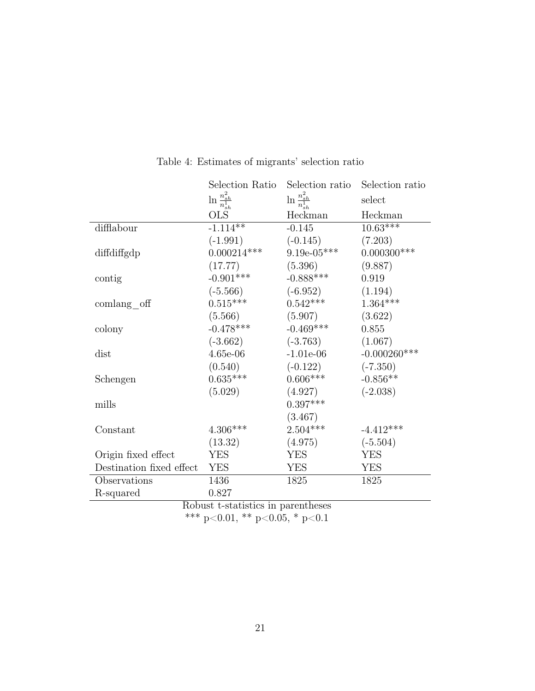|                                    | Selection Ratio            | Selection ratio            | Selection ratio |  |
|------------------------------------|----------------------------|----------------------------|-----------------|--|
|                                    | $\ln \frac{n_{sh}^2}{n^1}$ | $\ln \frac{n_{sh}^2}{n^1}$ | select          |  |
|                                    | OLS                        | Heckman                    | Heckman         |  |
| difflabour                         | $-1.114**$                 | $-0.145$                   | $10.63***$      |  |
|                                    | $(-1.991)$                 | $(-0.145)$                 | (7.203)         |  |
| diffdiffgdp                        | $0.000214***$              | $9.19e-05***$              | $0.000300$ ***  |  |
|                                    | (17.77)                    | (5.396)                    | (9.887)         |  |
| contig                             | $-0.901***$                | $-0.888***$                | 0.919           |  |
|                                    | $(-5.566)$                 | $(-6.952)$                 | (1.194)         |  |
| comlang off                        | $0.515***$                 | $0.542***$                 | $1.364***$      |  |
|                                    | (5.566)                    | (5.907)                    | (3.622)         |  |
| colony                             | $-0.478***$                | $-0.469***$                | 0.855           |  |
|                                    | $(-3.662)$                 | $(-3.763)$                 | (1.067)         |  |
| dist                               | $4.65e-06$                 | $-1.01e-06$                | $-0.000260$ *** |  |
|                                    | (0.540)                    | $(-0.122)$                 | $(-7.350)$      |  |
| Schengen                           | $0.635***$                 | $0.606***$                 | $-0.856**$      |  |
|                                    | (5.029)                    | (4.927)                    | $(-2.038)$      |  |
| mills                              |                            | $0.397***$                 |                 |  |
|                                    |                            | (3.467)                    |                 |  |
| Constant                           | $4.306***$                 | $2.504***$                 | $-4.412***$     |  |
|                                    | (13.32)                    | (4.975)                    | $(-5.504)$      |  |
| Origin fixed effect                | <b>YES</b>                 | YES                        | <b>YES</b>      |  |
| Destination fixed effect           | <b>YES</b>                 | <b>YES</b>                 | <b>YES</b>      |  |
| Observations                       | 1436                       | 1825                       | 1825            |  |
| R-squared                          | 0.827                      |                            |                 |  |
| Robust t-statistics in parentheses |                            |                            |                 |  |

<span id="page-20-0"></span>Table 4: Estimates of migrants' selection ratio

\*\*\* p<0.01, \*\* p<0.05, \* p<0.1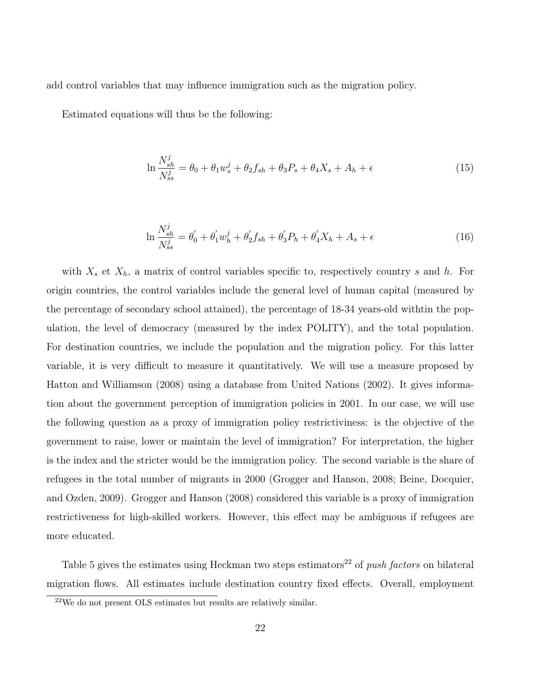<span id="page-21-0"></span>add control variables that may influence immigration such as the migration policy.

Estimated equations will thus be the following:

$$
\ln \frac{N_{sh}^j}{N_{ss}^j} = \theta_0 + \theta_1 w_s^j + \theta_2 f_{sh} + \theta_3 P_s + \theta_4 X_s + A_h + \epsilon
$$
\n(15)

$$
\ln \frac{N_{sh}^{j}}{N_{ss}^{j}} = \theta_{0}^{\prime} + \theta_{1}^{\prime} w_{h}^{j} + \theta_{2}^{\prime} f_{sh} + \theta_{3}^{\prime} P_{h} + \theta_{4}^{\prime} X_{h} + A_{s} + \epsilon
$$
\n(16)

with  $X_s$  et  $X_h$ , a matrix of control variables specific to, respectively country s and h. For origin countries, the control variables include the general level of human capital (measured by the percentage of secondary school attained), the percentage of 18-34 years-old withtin the population, the level of democracy (measured by the index POLITY), and the total population. For destination countries, we include the population and the migration policy. For this latter variable, it is very difficult to measure it quantitatively. We will use a measure proposed by [Hatton and Williamson](#page-29-10) [\(2008\)](#page-29-10) using a database from [United Nations](#page-30-9) [\(2002\)](#page-30-9). It gives information about the government perception of immigration policies in 2001. In our case, we will use the following question as a proxy of immigration policy restrictiviness: is the objective of the government to raise, lower or maintain the level of immigration? For interpretation, the higher is the index and the stricter would be the immigration policy. The second variable is the share of refugees in the total number of migrants in 2000 [\(Grogger and Hanson,](#page-28-4) [2008;](#page-28-4) [Beine, Docquier,](#page-27-9) [and Ozden,](#page-27-9) [2009\)](#page-27-9). [Grogger and Hanson](#page-28-4) [\(2008\)](#page-28-4) considered this variable is a proxy of immigration restrictiveness for high-skilled workers. However, this effect may be ambiguous if refugees are more educated.

Table [5](#page-23-0) gives the estimates using Heckman two steps estimators<sup>22</sup> of *push factors* on bilateral migration flows. All estimates include destination country fixed effects. Overall, employment

<sup>22</sup>We do not present OLS estimates but results are relatively similar.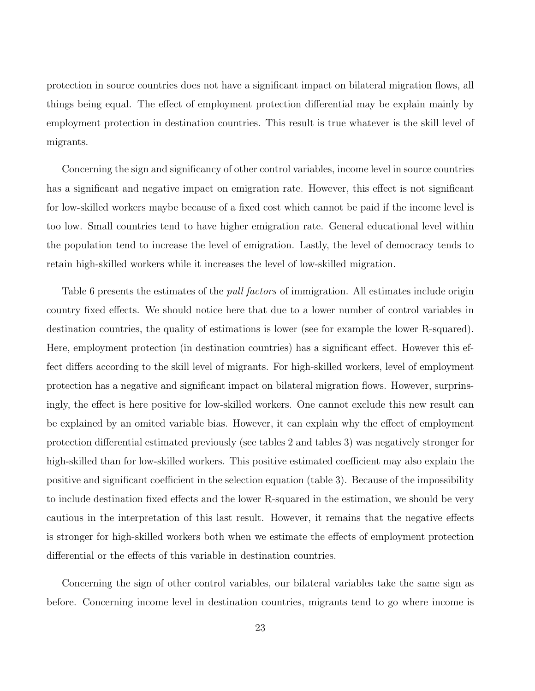protection in source countries does not have a significant impact on bilateral migration flows, all things being equal. The effect of employment protection differential may be explain mainly by employment protection in destination countries. This result is true whatever is the skill level of migrants.

Concerning the sign and significancy of other control variables, income level in source countries has a significant and negative impact on emigration rate. However, this effect is not significant for low-skilled workers maybe because of a fixed cost which cannot be paid if the income level is too low. Small countries tend to have higher emigration rate. General educational level within the population tend to increase the level of emigration. Lastly, the level of democracy tends to retain high-skilled workers while it increases the level of low-skilled migration.

Table [6](#page-25-0) presents the estimates of the *pull factors* of immigration. All estimates include origin country fixed effects. We should notice here that due to a lower number of control variables in destination countries, the quality of estimations is lower (see for example the lower R-squared). Here, employment protection (in destination countries) has a significant effect. However this effect differs according to the skill level of migrants. For high-skilled workers, level of employment protection has a negative and significant impact on bilateral migration flows. However, surprinsingly, the effect is here positive for low-skilled workers. One cannot exclude this new result can be explained by an omited variable bias. However, it can explain why the effect of employment protection differential estimated previously (see tables [2](#page-16-0) and tables [3\)](#page-17-0) was negatively stronger for high-skilled than for low-skilled workers. This positive estimated coefficient may also explain the positive and significant coefficient in the selection equation (table [3\)](#page-17-0). Because of the impossibility to include destination fixed effects and the lower R-squared in the estimation, we should be very cautious in the interpretation of this last result. However, it remains that the negative effects is stronger for high-skilled workers both when we estimate the effects of employment protection differential or the effects of this variable in destination countries.

Concerning the sign of other control variables, our bilateral variables take the same sign as before. Concerning income level in destination countries, migrants tend to go where income is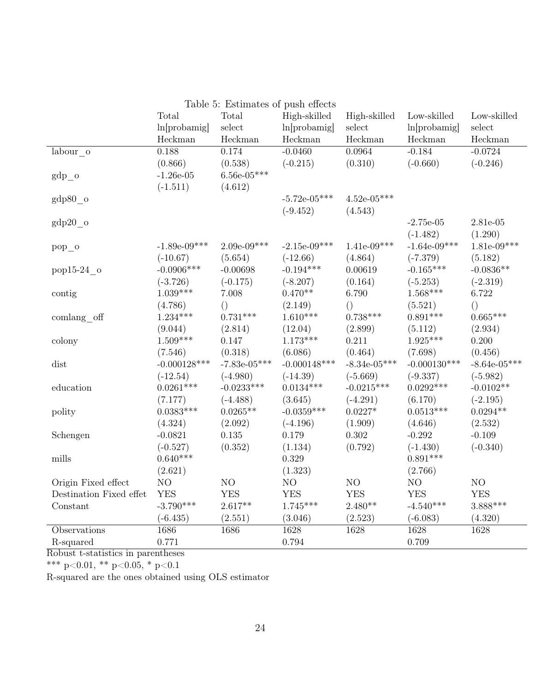<span id="page-23-0"></span>

|                         |                 | Table 5: Estimates of push effects |                 |                 |                 |                 |
|-------------------------|-----------------|------------------------------------|-----------------|-----------------|-----------------|-----------------|
|                         | Total           | Total                              | High-skilled    | High-skilled    | Low-skilled     | Low-skilled     |
|                         | ln[probability] | $\operatorname{select}$            | ln[probability] | select          | ln[probability] | select          |
|                         | Heckman         | ${\rm Heckman}$                    | Heckman         | Heckman         | Heckman         | Heckman         |
| labour o                | 0.188           | 0.174                              | $-0.0460$       | 0.0964          | $-0.184$        | $-0.0724$       |
|                         | (0.866)         | (0.538)                            | $(-0.215)$      | (0.310)         | $(-0.660)$      | $(-0.246)$      |
| $gdp\_{o}$              | $-1.26e-05$     | $6.56\mathrm{e}{\text{-}05^{***}}$ |                 |                 |                 |                 |
|                         | $(-1.511)$      | (4.612)                            |                 |                 |                 |                 |
| $gdp80$ o               |                 |                                    | $-5.72e-05***$  | $4.52e-05***$   |                 |                 |
|                         |                 |                                    | $(-9.452)$      | (4.543)         |                 |                 |
| $gdp20$ o               |                 |                                    |                 |                 | $-2.75e-05$     | 2.81e-05        |
|                         |                 |                                    |                 |                 | $(-1.482)$      | (1.290)         |
| $pop_0$                 | $-1.89e-09***$  | $2.09e-09***$                      | $-2.15e-09***$  | $1.41e-09***$   | $-1.64e-09***$  | $1.81e-09***$   |
|                         | $(-10.67)$      | (5.654)                            | $(-12.66)$      | (4.864)         | $(-7.379)$      | (5.182)         |
| pop15-24 o              | $-0.0906***$    | $-0.00698$                         | $-0.194***$     | 0.00619         | $-0.165***$     | $-0.0836**$     |
|                         | $(-3.726)$      | $(-0.175)$                         | $(-8.207)$      | (0.164)         | $(-5.253)$      | $(-2.319)$      |
| contig                  | $1.039***$      | 7.008                              | $0.470**$       | 6.790           | $1.568***$      | 6.722           |
|                         | (4.786)         | $\left(\right)$                    | (2.149)         | $\left(\right)$ | (5.521)         | $\left(\right)$ |
| comlang off             | $1.234***$      | $0.731***$                         | $1.610***$      | $0.738***$      | $0.891***$      | $0.665***$      |
|                         | (9.044)         | (2.814)                            | (12.04)         | (2.899)         | (5.112)         | (2.934)         |
| colony                  | $1.509***$      | 0.147                              | $1.173***$      | 0.211           | $1.925***$      | 0.200           |
|                         | (7.546)         | (0.318)                            | (6.086)         | (0.464)         | (7.698)         | (0.456)         |
| dist                    | $-0.000128$ *** | $-7.83e-05***$                     | $-0.000148***$  | $-8.34e-05***$  | $-0.000130***$  | $-8.64e-05***$  |
|                         | $(-12.54)$      | $(-4.980)$                         | $(-14.39)$      | $(-5.669)$      | $(-9.337)$      | $(-5.982)$      |
| education               | $0.0261***$     | $-0.0233***$                       | $0.0134***$     | $-0.0215***$    | $0.0292***$     | $-0.0102**$     |
|                         | (7.177)         | $(-4.488)$                         | (3.645)         | $(-4.291)$      | (6.170)         | $(-2.195)$      |
| polity                  | $0.0383***$     | $0.0265**$                         | $-0.0359***$    | $0.0227*$       | $0.0513***$     | $0.0294**$      |
|                         | (4.324)         | (2.092)                            | $(-4.196)$      | (1.909)         | (4.646)         | (2.532)         |
| Schengen                | $-0.0821$       | 0.135                              | 0.179           | 0.302           | $-0.292$        | $-0.109$        |
|                         | $(-0.527)$      | (0.352)                            | (1.134)         | (0.792)         | $(-1.430)$      | $(-0.340)$      |
| mills                   | $0.640***$      |                                    | 0.329           |                 | $0.891***$      |                 |
|                         | (2.621)         |                                    | (1.323)         |                 | (2.766)         |                 |
| Origin Fixed effect     | NO              | $\rm NO$                           | NO              | NO              | NO              | NO              |
| Destination Fixed effet | <b>YES</b>      | <b>YES</b>                         | <b>YES</b>      | <b>YES</b>      | <b>YES</b>      | <b>YES</b>      |
| Constant                | $-3.790***$     | $2.617**$                          | $1.745***$      | $2.480**$       | $-4.540***$     | $3.888***$      |
|                         | $(-6.435)$      | (2.551)                            | (3.046)         | (2.523)         | $(-6.083)$      | (4.320)         |
| Observations            | 1686            | 1686                               | 1628            | 1628            | 1628            | 1628            |
| R-squared               | 0.771           |                                    | 0.794           |                 | 0.709           |                 |

Robust t-statistics in parentheses

\*\*\* p<0.01, \*\* p<0.05, \* p<0.1

R-squared are the ones obtained using OLS estimator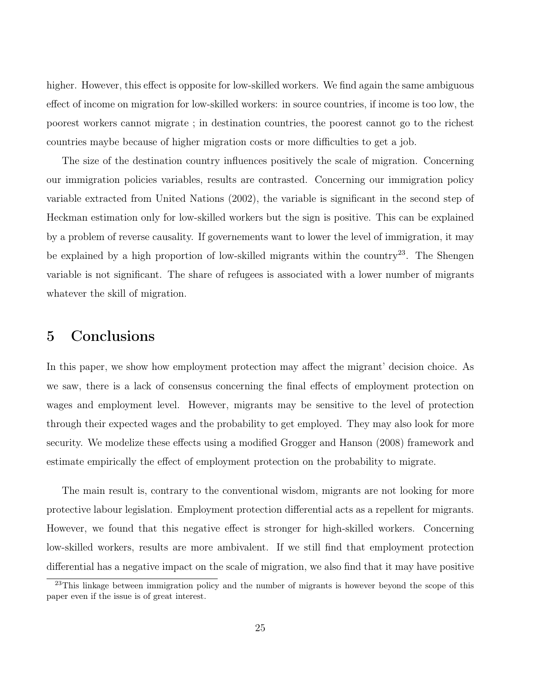<span id="page-24-0"></span>higher. However, this effect is opposite for low-skilled workers. We find again the same ambiguous effect of income on migration for low-skilled workers: in source countries, if income is too low, the poorest workers cannot migrate ; in destination countries, the poorest cannot go to the richest countries maybe because of higher migration costs or more difficulties to get a job.

The size of the destination country influences positively the scale of migration. Concerning our immigration policies variables, results are contrasted. Concerning our immigration policy variable extracted from [United Nations](#page-30-9) [\(2002\)](#page-30-9), the variable is significant in the second step of Heckman estimation only for low-skilled workers but the sign is positive. This can be explained by a problem of reverse causality. If governements want to lower the level of immigration, it may be explained by a high proportion of low-skilled migrants within the country<sup>23</sup>. The Shengen variable is not significant. The share of refugees is associated with a lower number of migrants whatever the skill of migration.

## 5 Conclusions

In this paper, we show how employment protection may affect the migrant' decision choice. As we saw, there is a lack of consensus concerning the final effects of employment protection on wages and employment level. However, migrants may be sensitive to the level of protection through their expected wages and the probability to get employed. They may also look for more security. We modelize these effects using a modified [Grogger and Hanson](#page-28-4) [\(2008\)](#page-28-4) framework and estimate empirically the effect of employment protection on the probability to migrate.

The main result is, contrary to the conventional wisdom, migrants are not looking for more protective labour legislation. Employment protection differential acts as a repellent for migrants. However, we found that this negative effect is stronger for high-skilled workers. Concerning low-skilled workers, results are more ambivalent. If we still find that employment protection differential has a negative impact on the scale of migration, we also find that it may have positive

<sup>&</sup>lt;sup>23</sup>This linkage between immigration policy and the number of migrants is however beyond the scope of this paper even if the issue is of great interest.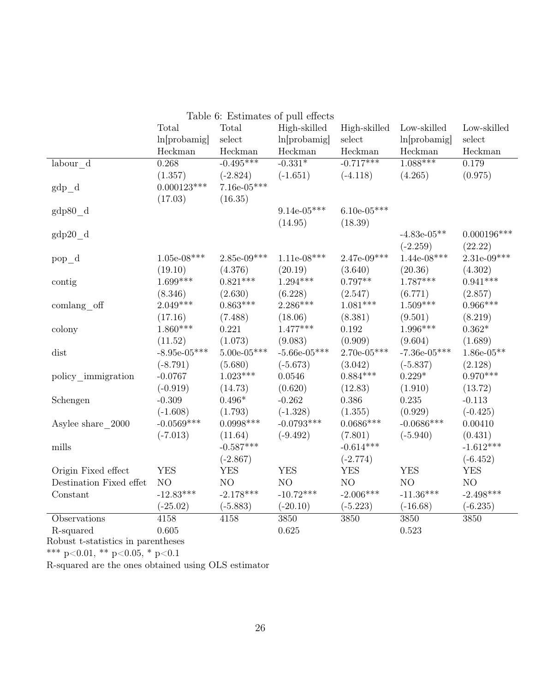<span id="page-25-0"></span>

| Table 6: Estimates of pull effects              |                 |               |                 |               |                 |               |
|-------------------------------------------------|-----------------|---------------|-----------------|---------------|-----------------|---------------|
|                                                 | Total           | Total         | High-skilled    | High-skilled  | Low-skilled     | Low-skilled   |
|                                                 | ln[probability] | select        | ln[probability] | select        | ln[probability] | select        |
|                                                 | Heckman         | Heckman       | Heckman         | Heckman       | Heckman         | Heckman       |
| labour d                                        | 0.268           | $-0.495***$   | $-0.331*$       | $-0.717***$   | $1.088***$      | 0.179         |
|                                                 | (1.357)         | $(-2.824)$    | $(-1.651)$      | $(-4.118)$    | (4.265)         | (0.975)       |
| $gdp_d$                                         | $0.000123***$   | $7.16e-05***$ |                 |               |                 |               |
|                                                 | (17.03)         | (16.35)       |                 |               |                 |               |
| gdp80 d                                         |                 |               | $9.14e-05***$   | $6.10e-05***$ |                 |               |
|                                                 |                 |               | (14.95)         | (18.39)       |                 |               |
| $gdp20$ d                                       |                 |               |                 |               | $-4.83e-05**$   | $0.000196***$ |
|                                                 |                 |               |                 |               | $(-2.259)$      | (22.22)       |
| $pop_d$                                         | $1.05e-08***$   | $2.85e-09***$ | $1.11e-08***$   | $2.47e-09***$ | $1.44e-08***$   | $2.31e-09***$ |
|                                                 | (19.10)         | (4.376)       | (20.19)         | (3.640)       | (20.36)         | (4.302)       |
| contig                                          | $1.699***$      | $0.821***$    | $1.294***$      | $0.797**$     | $1.787***$      | $0.941***$    |
|                                                 | (8.346)         | (2.630)       | (6.228)         | (2.547)       | (6.771)         | (2.857)       |
| comlang off                                     | $2.049***$      | $0.863***$    | $2.286***$      | $1.081***$    | $1.509***$      | $0.966***$    |
|                                                 | (17.16)         | (7.488)       | (18.06)         | (8.381)       | (9.501)         | (8.219)       |
| colony                                          | $1.860***$      | 0.221         | $1.477***$      | 0.192         | $1.996***$      | $0.362*$      |
|                                                 | (11.52)         | (1.073)       | (9.083)         | (0.909)       | (9.604)         | (1.689)       |
| dist                                            | $-8.95e-05***$  | $5.00e-05***$ | $-5.66e-05***$  | $2.70e-05***$ | $-7.36e-05***$  | $1.86e-05**$  |
|                                                 | $(-8.791)$      | (5.680)       | $(-5.673)$      | (3.042)       | $(-5.837)$      | (2.128)       |
| policy immigration                              | $-0.0767$       | $1.023***$    | 0.0546          | $0.884***$    | $0.229*$        | $0.970***$    |
|                                                 | $(-0.919)$      | (14.73)       | (0.620)         | (12.83)       | (1.910)         | (13.72)       |
| Schengen                                        | $-0.309$        | $0.496*$      | $-0.262$        | 0.386         | 0.235           | $-0.113$      |
|                                                 | $(-1.608)$      | (1.793)       | $(-1.328)$      | (1.355)       | (0.929)         | $(-0.425)$    |
| Asylee share 2000                               | $-0.0569***$    | $0.0998***$   | $-0.0793***$    | $0.0686***$   | $-0.0686***$    | 0.00410       |
|                                                 | $(-7.013)$      | (11.64)       | $(-9.492)$      | (7.801)       | $(-5.940)$      | (0.431)       |
| mills                                           |                 | $-0.587***$   |                 | $-0.614***$   |                 | $-1.612***$   |
|                                                 |                 | $(-2.867)$    |                 | $(-2.774)$    |                 | $(-6.452)$    |
| Origin Fixed effect                             | <b>YES</b>      | <b>YES</b>    | <b>YES</b>      | <b>YES</b>    | <b>YES</b>      | <b>YES</b>    |
| Destination Fixed effet                         | NO              | NO            | NO              | NO            | NO              | NO            |
| Constant                                        | $-12.83***$     | $-2.178***$   | $-10.72***$     | $-2.006***$   | $-11.36***$     | $-2.498***$   |
|                                                 | $(-25.02)$      | $(-5.883)$    | $(-20.10)$      | $(-5.223)$    | $(-16.68)$      | $(-6.235)$    |
| Observations                                    | 4158            | 4158          | 3850            | 3850          | 3850            | 3850          |
| R-squared<br>$\sim$ $\sim$ $\sim$ $\sim$ $\sim$ | 0.605           |               | 0.625           |               | 0.523           |               |

Robust t-statistics in parentheses

\*\*\* p<0.01, \*\* p<0.05, \* p<0.1

R-squared are the ones obtained using OLS estimator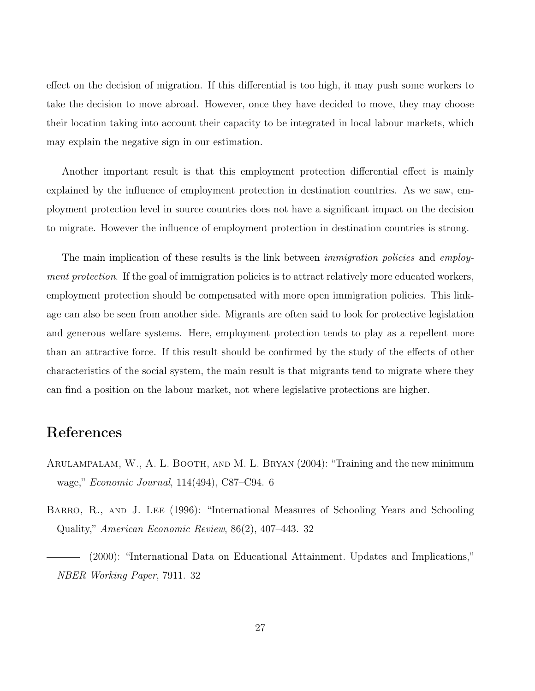effect on the decision of migration. If this differential is too high, it may push some workers to take the decision to move abroad. However, once they have decided to move, they may choose their location taking into account their capacity to be integrated in local labour markets, which may explain the negative sign in our estimation.

Another important result is that this employment protection differential effect is mainly explained by the influence of employment protection in destination countries. As we saw, employment protection level in source countries does not have a significant impact on the decision to migrate. However the influence of employment protection in destination countries is strong.

The main implication of these results is the link between *immigration policies* and *employ*ment protection. If the goal of immigration policies is to attract relatively more educated workers, employment protection should be compensated with more open immigration policies. This linkage can also be seen from another side. Migrants are often said to look for protective legislation and generous welfare systems. Here, employment protection tends to play as a repellent more than an attractive force. If this result should be confirmed by the study of the effects of other characteristics of the social system, the main result is that migrants tend to migrate where they can find a position on the labour market, not where legislative protections are higher.

### References

- <span id="page-26-0"></span>Arulampalam, W., A. L. Booth, and M. L. Bryan (2004): "Training and the new minimum wage," Economic Journal, 114(494), C87–C94. [6](#page-5-0)
- <span id="page-26-2"></span><span id="page-26-1"></span>BARRO, R., AND J. LEE (1996): "International Measures of Schooling Years and Schooling Quality," American Economic Review, 86(2), 407–443. [32](#page-31-1)
	- (2000): "International Data on Educational Attainment. Updates and Implications," NBER Working Paper, 7911. [32](#page-31-1)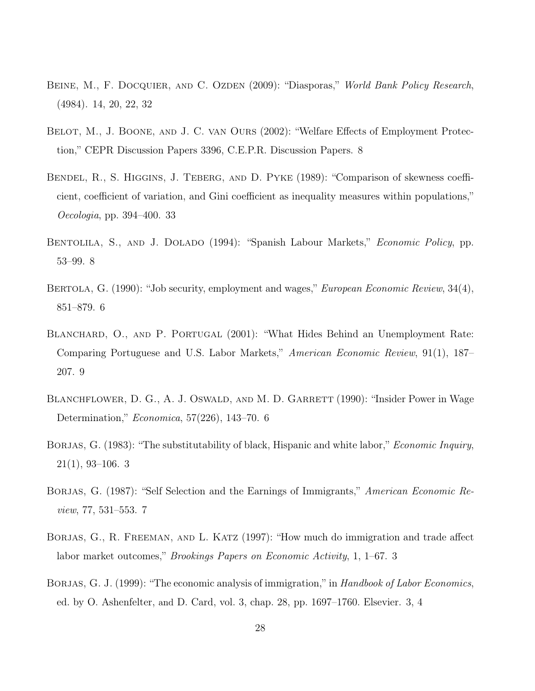- <span id="page-27-9"></span>BEINE, M., F. DOCQUIER, AND C. OZDEN (2009): "Diasporas," World Bank Policy Research, (4984). [14,](#page-13-0) [20,](#page-19-0) [22,](#page-21-0) [32](#page-31-1)
- <span id="page-27-7"></span>BELOT, M., J. BOONE, AND J. C. VAN OURS (2002): "Welfare Effects of Employment Protection," CEPR Discussion Papers 3396, C.E.P.R. Discussion Papers. [8](#page-7-1)
- <span id="page-27-10"></span>BENDEL, R., S. HIGGINS, J. TEBERG, AND D. PYKE (1989): "Comparison of skewness coefficient, coefficient of variation, and Gini coefficient as inequality measures within populations," Oecologia, pp. 394–400. [33](#page-32-1)
- <span id="page-27-6"></span>BENTOLILA, S., AND J. DOLADO (1994): "Spanish Labour Markets," *Economic Policy*, pp. 53–99. [8](#page-7-1)
- <span id="page-27-3"></span>BERTOLA, G. (1990): "Job security, employment and wages," *European Economic Review*, 34(4), 851–879. [6](#page-5-0)
- <span id="page-27-8"></span>BLANCHARD, O., AND P. PORTUGAL (2001): "What Hides Behind an Unemployment Rate: Comparing Portuguese and U.S. Labor Markets," American Economic Review, 91(1), 187– 207. [9](#page-8-1)
- <span id="page-27-4"></span>BLANCHFLOWER, D. G., A. J. OSWALD, AND M. D. GARRETT (1990): "Insider Power in Wage Determination," Economica, 57(226), 143–70. [6](#page-5-0)
- <span id="page-27-1"></span>BORJAS, G. (1983): "The substitutability of black, Hispanic and white labor," *Economic Inquiry*,  $21(1)$ , 9[3](#page-2-0)-106. 3
- <span id="page-27-5"></span>BORJAS, G. (1987): "Self Selection and the Earnings of Immigrants," American Economic Review, 77, 531–553. [7](#page-6-1)
- <span id="page-27-2"></span>BORJAS, G., R. FREEMAN, AND L. KATZ (1997): "How much do immigration and trade affect labor market outcomes," Brookings Papers on Economic Activity, 1, 1–67. [3](#page-2-0)
- <span id="page-27-0"></span>BORJAS, G. J. (1999): "The economic analysis of immigration," in Handbook of Labor Economics, ed. by O. Ashenfelter, and D. Card, vol. 3, chap. 28, pp. 1697–1760. Elsevier. [3,](#page-2-0) [4](#page-3-0)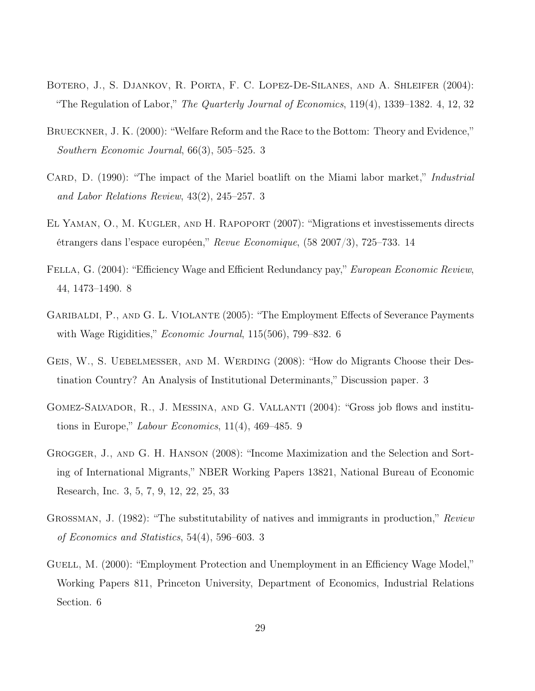- <span id="page-28-5"></span>BOTERO, J., S. DJANKOV, R. PORTA, F. C. LOPEZ-DE-SILANES, AND A. SHLEIFER (2004): "The Regulation of Labor," The Quarterly Journal of Economics, 119(4), 1339–1382. [4,](#page-3-0) [12,](#page-11-0) [32](#page-31-1)
- <span id="page-28-2"></span>Brueckner, J. K. (2000): "Welfare Reform and the Race to the Bottom: Theory and Evidence," Southern Economic Journal, 66(3), 505–525. [3](#page-2-0)
- <span id="page-28-1"></span>CARD, D. (1990): "The impact of the Mariel boatlift on the Miami labor market," *Industrial* and Labor Relations Review, 43(2), 245–257. [3](#page-2-0)
- <span id="page-28-10"></span>El Yaman, O., M. Kugler, and H. Rapoport (2007): "Migrations et investissements directs étrangers dans l'espace européen," Revue Economique, (58 2007/3), 725–733. [14](#page-13-0)
- <span id="page-28-8"></span>FELLA, G. (2004): "Efficiency Wage and Efficient Redundancy pay," *European Economic Review*, 44, 1473–1490. [8](#page-7-1)
- <span id="page-28-7"></span>GARIBALDI, P., AND G. L. VIOLANTE (2005): "The Employment Effects of Severance Payments with Wage Rigidities," *Economic Journal*, 115(50[6](#page-5-0)), 799–832. 6
- <span id="page-28-3"></span>Geis, W., S. Uebelmesser, and M. Werding (2008): "How do Migrants Choose their Destination Country? An Analysis of Institutional Determinants," Discussion paper. [3](#page-2-0)
- <span id="page-28-9"></span>GOMEZ-SALVADOR, R., J. MESSINA, AND G. VALLANTI (2004): "Gross job flows and institutions in Europe," Labour Economics, 11(4), 469–485. [9](#page-8-1)
- <span id="page-28-4"></span>Grogger, J., and G. H. Hanson (2008): "Income Maximization and the Selection and Sorting of International Migrants," NBER Working Papers 13821, National Bureau of Economic Research, Inc. [3,](#page-2-0) [5,](#page-4-1) [7,](#page-6-1) [9,](#page-8-1) [12,](#page-11-0) [22,](#page-21-0) [25,](#page-24-0) [33](#page-32-1)
- <span id="page-28-0"></span>GROSSMAN, J. (1982): "The substitutability of natives and immigrants in production," Review of Economics and Statistics, 54(4), 596–603. [3](#page-2-0)
- <span id="page-28-6"></span>GUELL, M. (2000): "Employment Protection and Unemployment in an Efficiency Wage Model," Working Papers 811, Princeton University, Department of Economics, Industrial Relations Section. [6](#page-5-0)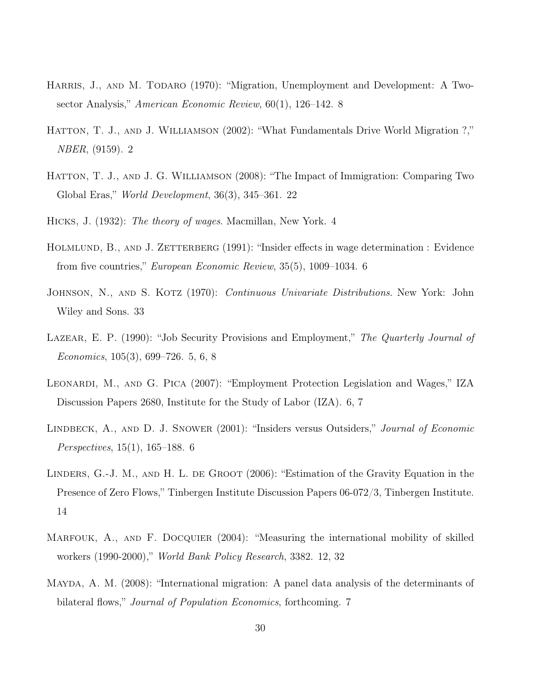- <span id="page-29-7"></span>HARRIS, J., AND M. TODARO (1970): "Migration, Unemployment and Development: A Twosector Analysis," American Economic Review, 60(1), 126–142. [8](#page-7-1)
- <span id="page-29-0"></span>HATTON, T. J., AND J. WILLIAMSON (2002): "What Fundamentals Drive World Migration ?," NBER, (9159). [2](#page-1-0)
- <span id="page-29-10"></span>HATTON, T. J., AND J. G. WILLIAMSON (2008): "The Impact of Immigration: Comparing Two Global Eras," World Development, 36(3), 345–361. [22](#page-21-0)
- <span id="page-29-1"></span>Hicks, J. (1932): The theory of wages. Macmillan, New York. [4](#page-3-0)
- <span id="page-29-4"></span>HOLMLUND, B., AND J. ZETTERBERG (1991): "Insider effects in wage determination : Evidence from five countries," European Economic Review, 35(5), 1009–1034. [6](#page-5-0)
- <span id="page-29-11"></span>JOHNSON, N., AND S. KOTZ (1970): *Continuous Univariate Distributions*. New York: John Wiley and Sons. [33](#page-32-1)
- <span id="page-29-2"></span>LAZEAR, E. P. (1990): "Job Security Provisions and Employment," The Quarterly Journal of Economics, 105(3), 699–726. [5,](#page-4-1) [6,](#page-5-0) [8](#page-7-1)
- <span id="page-29-5"></span>LEONARDI, M., AND G. PICA (2007): "Employment Protection Legislation and Wages," IZA Discussion Papers 2680, Institute for the Study of Labor (IZA). [6,](#page-5-0) [7](#page-6-1)
- <span id="page-29-3"></span>LINDBECK, A., AND D. J. SNOWER (2001): "Insiders versus Outsiders," *Journal of Economic* Perspectives, 15(1), 165–188. [6](#page-5-0)
- <span id="page-29-9"></span>LINDERS, G.-J. M., AND H. L. DE GROOT (2006): "Estimation of the Gravity Equation in the Presence of Zero Flows," Tinbergen Institute Discussion Papers 06-072/3, Tinbergen Institute. [14](#page-13-0)
- <span id="page-29-8"></span>MARFOUK, A., AND F. DOCQUIER (2004): "Measuring the international mobility of skilled workers (1990-2000)," World Bank Policy Research, 3382. [12,](#page-11-0) [32](#page-31-1)
- <span id="page-29-6"></span>Mayda, A. M. (2008): "International migration: A panel data analysis of the determinants of bilateral flows," *Journal of Population Economics*, forthcoming. [7](#page-6-1)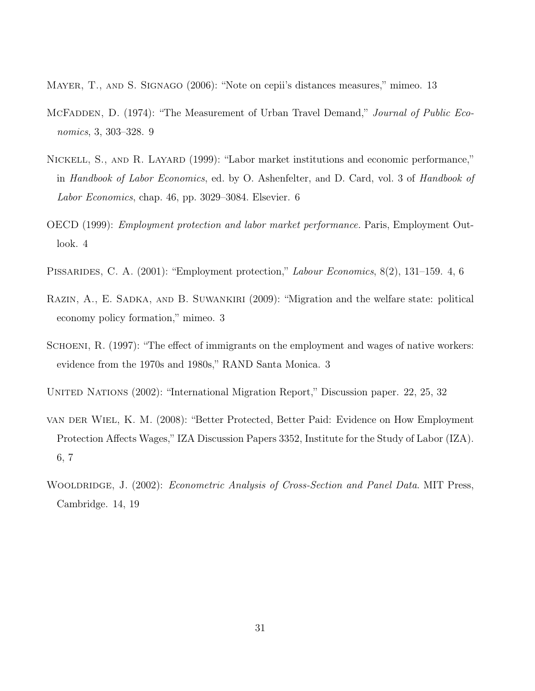<span id="page-30-7"></span>MAYER, T., AND S. SIGNAGO (2006): "Note on cepii's distances measures," mimeo. [13](#page-12-2)

- <span id="page-30-6"></span>MCFADDEN, D. (1974): "The Measurement of Urban Travel Demand," *Journal of Public Eco*nomics, 3, 303–328. [9](#page-8-1)
- <span id="page-30-4"></span>NICKELL, S., AND R. LAYARD (1999): "Labor market institutions and economic performance," in Handbook of Labor Economics, ed. by O. Ashenfelter, and D. Card, vol. 3 of Handbook of Labor Economics, chap. 46, pp. 3029–3084. Elsevier. [6](#page-5-0)
- <span id="page-30-3"></span>OECD (1999): Employment protection and labor market performance. Paris, Employment Outlook. [4](#page-3-0)
- <span id="page-30-2"></span>PISSARIDES, C. A. (2001): "Employment protection," Labour Economics, 8(2), 131–159. [4,](#page-3-0) [6](#page-5-0)
- <span id="page-30-1"></span>RAZIN, A., E. SADKA, AND B. SUWANKIRI (2009): "Migration and the welfare state: political economy policy formation," mimeo. [3](#page-2-0)
- <span id="page-30-0"></span>SCHOENI, R. (1997): "The effect of immigrants on the employment and wages of native workers: evidence from the 1970s and 1980s," RAND Santa Monica. [3](#page-2-0)

<span id="page-30-9"></span>UNITED NATIONS (2002): "International Migration Report," Discussion paper. [22,](#page-21-0) [25,](#page-24-0) [32](#page-31-1)

- <span id="page-30-5"></span>van der Wiel, K. M. (2008): "Better Protected, Better Paid: Evidence on How Employment Protection Affects Wages," IZA Discussion Papers 3352, Institute for the Study of Labor (IZA). [6,](#page-5-0) [7](#page-6-1)
- <span id="page-30-8"></span>WOOLDRIDGE, J. (2002): *Econometric Analysis of Cross-Section and Panel Data*. MIT Press, Cambridge. [14,](#page-13-0) [19](#page-18-0)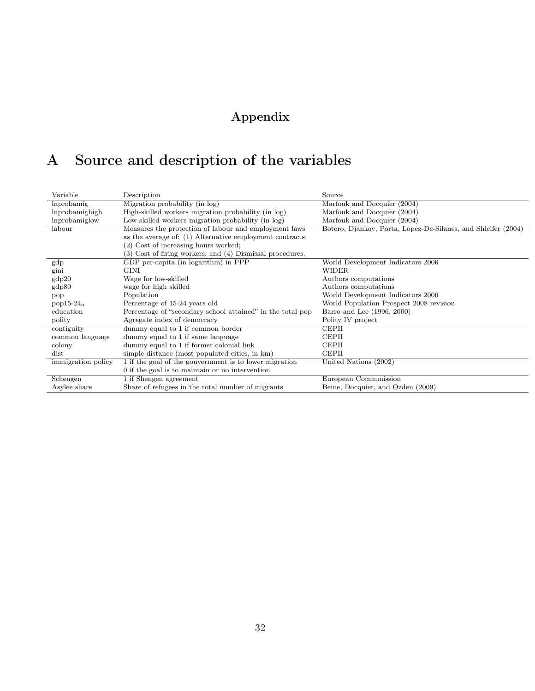# Appendix

# <span id="page-31-1"></span><span id="page-31-0"></span>A Source and description of the variables

| Variable           | Description                                                | Source                                                        |
|--------------------|------------------------------------------------------------|---------------------------------------------------------------|
| lnprobamig         | Migration probability (in log)                             | Marfouk and Docquier (2004)                                   |
| lnprobamighigh     | High-skilled workers migration probability (in log)        | Marfouk and Docquier (2004)                                   |
| lnprobamiglow      | Low-skilled workers migration probability (in log)         | Marfouk and Docquier (2004)                                   |
| labour             | Measures the protection of labour and employment laws      | Botero, Djankov, Porta, Lopez-De-Silanes, and Shleifer (2004) |
|                    | as the average of: (1) Alternative employment contracts;   |                                                               |
|                    | (2) Cost of increasing hours worked;                       |                                                               |
|                    | (3) Cost of firing workers; and (4) Dismissal procedures.  |                                                               |
| gdp                | GDP per-capita (in logarithm) in PPP                       | World Development Indicators 2006                             |
| gini               | GINI                                                       | WIDER                                                         |
| gdp20              | Wage for low-skilled                                       | Authors computations                                          |
| gdp80              | wage for high skilled                                      | Authors computations                                          |
| pop                | Population                                                 | World Development Indicators 2006                             |
| $pop15-24o$        | Percentage of 15-24 years old                              | World Population Prospect 2008 revision                       |
| education          | Percentage of "secondary school attained" in the total pop | Barro and Lee (1996, 2000)                                    |
| polity             | Agregate index of democracy                                | Polity IV project                                             |
| contiguity         | dummy equal to 1 if common border                          | <b>CEPII</b>                                                  |
| common language    | dummy equal to 1 if same language                          | <b>CEPII</b>                                                  |
| colony             | dummy equal to 1 if former colonial link                   | <b>CEPII</b>                                                  |
| dist               | simple distance (most populated cities, in km)             | <b>CEPII</b>                                                  |
| immigration policy | 1 if the goal of the gouvernment is to lower migration     | United Nations (2002)                                         |
|                    | 0 if the goal is to maintain or no intervention            |                                                               |
| Schengen           | 1 if Shengen agreement                                     | European Commmission                                          |
| Asylee share       | Share of refugees in the total number of migrants          | Beine, Docquier, and Ozden (2009)                             |
|                    |                                                            |                                                               |